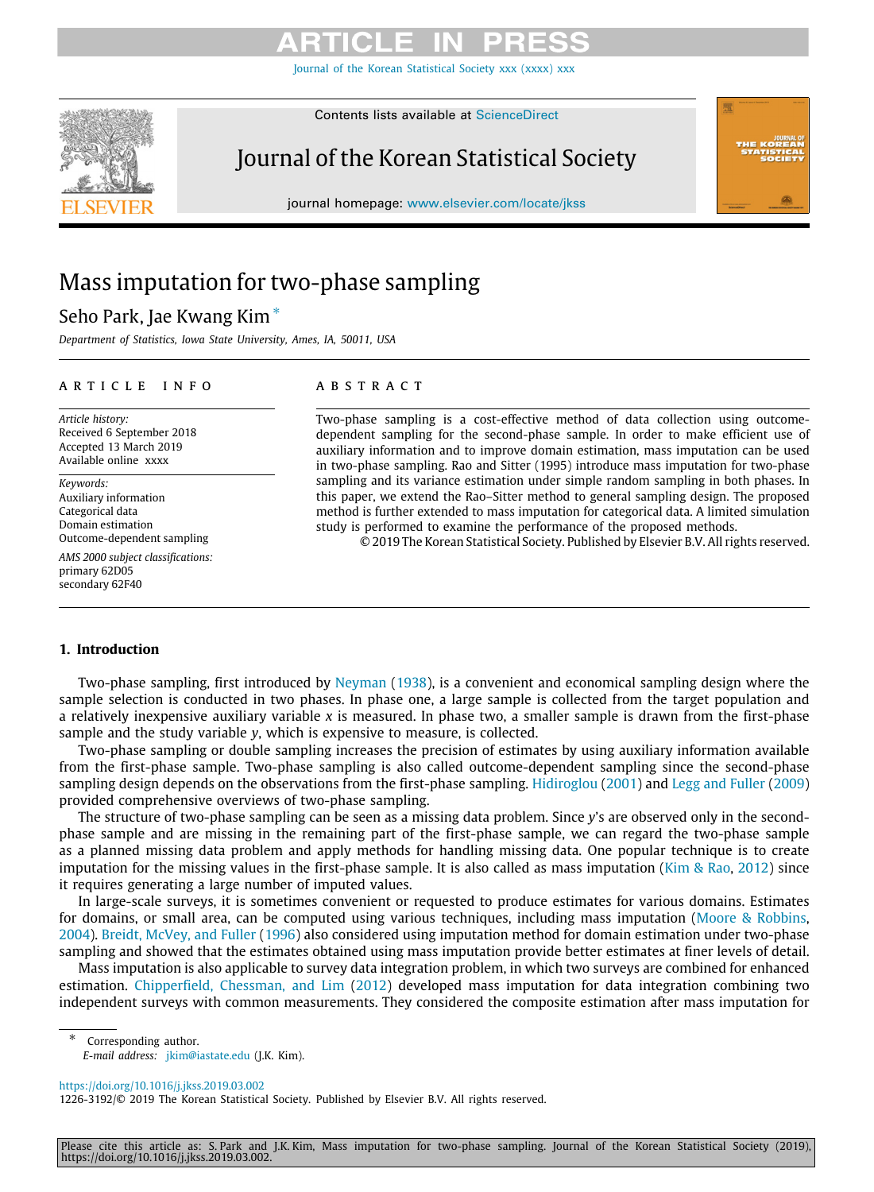[Journal of the Korean Statistical Society xxx \(xxxx\) xxx](https://doi.org/10.1016/j.jkss.2019.03.002)

Contents lists available at [ScienceDirect](http://www.elsevier.com/locate/jkss)

# Journal of the Korean Statistical Society

journal homepage: [www.elsevier.com/locate/jkss](http://www.elsevier.com/locate/jkss)

# Mass imputation for two-phase sampling

# Seho Park, Jae Kwang Kim [∗](#page-0-0)

*Department of Statistics, Iowa State University, Ames, IA, 50011, USA*

# a r t i c l e i n f o

*Article history:* Received 6 September 2018 Accepted 13 March 2019 Available online xxxx

*Keywords:* Auxiliary information Categorical data Domain estimation Outcome-dependent sampling

*AMS 2000 subject classifications:* primary 62D05 secondary 62F40

# a b s t r a c t

Two-phase sampling is a cost-effective method of data collection using outcomedependent sampling for the second-phase sample. In order to make efficient use of auxiliary information and to improve domain estimation, mass imputation can be used in two-phase sampling. Rao and Sitter (1995) introduce mass imputation for two-phase sampling and its variance estimation under simple random sampling in both phases. In this paper, we extend the Rao–Sitter method to general sampling design. The proposed method is further extended to mass imputation for categorical data. A limited simulation study is performed to examine the performance of the proposed methods.

© 2019 The Korean Statistical Society. Published by Elsevier B.V. All rights reserved.

# **1. Introduction**

Two-phase sampling, first introduced by [Neyman](#page-14-0) ([1938](#page-14-0)), is a convenient and economical sampling design where the sample selection is conducted in two phases. In phase one, a large sample is collected from the target population and a relatively inexpensive auxiliary variable *x* is measured. In phase two, a smaller sample is drawn from the first-phase sample and the study variable *y*, which is expensive to measure, is collected.

Two-phase sampling or double sampling increases the precision of estimates by using auxiliary information available from the first-phase sample. Two-phase sampling is also called outcome-dependent sampling since the second-phase sampling design depends on the observations from the first-phase sampling. [Hidiroglou](#page-14-1) ([2001\)](#page-14-1) and [Legg and Fuller](#page-14-2) [\(2009](#page-14-2)) provided comprehensive overviews of two-phase sampling.

The structure of two-phase sampling can be seen as a missing data problem. Since *y*'s are observed only in the secondphase sample and are missing in the remaining part of the first-phase sample, we can regard the two-phase sample as a planned missing data problem and apply methods for handling missing data. One popular technique is to create imputation for the missing values in the first-phase sample. It is also called as mass imputation [\(Kim & Rao](#page-14-3), [2012](#page-14-3)) since it requires generating a large number of imputed values.

In large-scale surveys, it is sometimes convenient or requested to produce estimates for various domains. Estimates for domains, or small area, can be computed using various techniques, including mass imputation [\(Moore & Robbins](#page-14-4), [2004](#page-14-4)). [Breidt, McVey, and Fuller](#page-14-5) ([1996](#page-14-5)) also considered using imputation method for domain estimation under two-phase sampling and showed that the estimates obtained using mass imputation provide better estimates at finer levels of detail.

Mass imputation is also applicable to survey data integration problem, in which two surveys are combined for enhanced estimation. [Chipperfield, Chessman, and Lim](#page-14-6) ([2012](#page-14-6)) developed mass imputation for data integration combining two independent surveys with common measurements. They considered the composite estimation after mass imputation for

<span id="page-0-0"></span>Corresponding author. *E-mail address:* [jkim@iastate.edu](mailto:jkim@iastate.edu) (J.K. Kim).

<https://doi.org/10.1016/j.jkss.2019.03.002>

1226-3192/© 2019 The Korean Statistical Society. Published by Elsevier B.V. All rights reserved.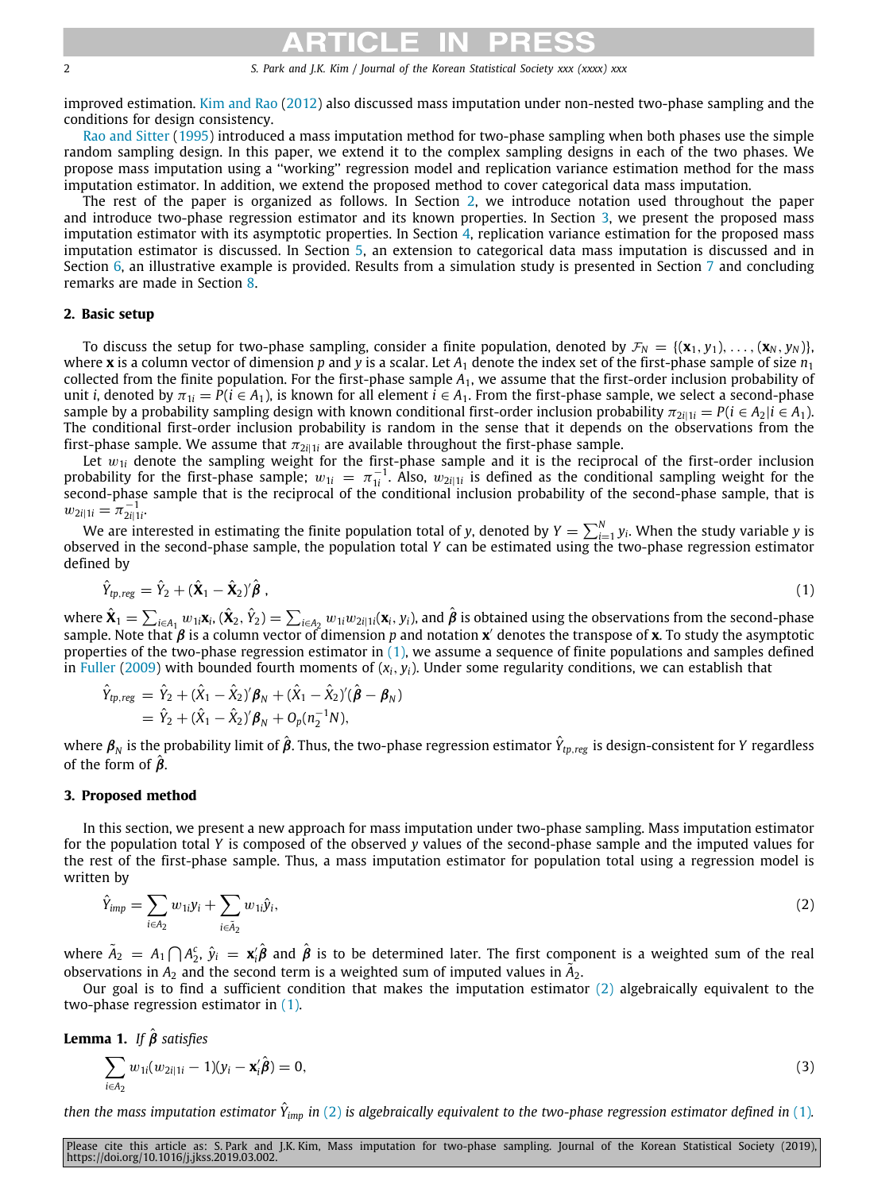improved estimation. [Kim and Rao](#page-14-3) ([2012\)](#page-14-3) also discussed mass imputation under non-nested two-phase sampling and the conditions for design consistency.

[Rao and Sitter](#page-14-7) [\(1995](#page-14-7)) introduced a mass imputation method for two-phase sampling when both phases use the simple random sampling design. In this paper, we extend it to the complex sampling designs in each of the two phases. We propose mass imputation using a ''working'' regression model and replication variance estimation method for the mass imputation estimator. In addition, we extend the proposed method to cover categorical data mass imputation.

The rest of the paper is organized as follows. In Section [2,](#page-1-0) we introduce notation used throughout the paper and introduce two-phase regression estimator and its known properties. In Section [3,](#page-1-1) we present the proposed mass imputation estimator with its asymptotic properties. In Section [4](#page-2-0), replication variance estimation for the proposed mass imputation estimator is discussed. In Section [5](#page-4-0), an extension to categorical data mass imputation is discussed and in Section [6,](#page-5-0) an illustrative example is provided. Results from a simulation study is presented in Section [7](#page-7-0) and concluding remarks are made in Section [8.](#page-9-0)

# **2. Basic setup**

<span id="page-1-0"></span>To discuss the setup for two-phase sampling, consider a finite population, denoted by  $\mathcal{F}_N = \{(\mathbf{x}_1, y_1), \dots, (\mathbf{x}_N, y_N)\}$ where **x** is a column vector of dimension  $p$  and  $y$  is a scalar. Let  $A_1$  denote the index set of the first-phase sample of size  $n_1$ collected from the finite population. For the first-phase sample *A*1, we assume that the first-order inclusion probability of unit *i*, denoted by  $\pi_{1i} = P(i \in A_1)$ , is known for all element  $i \in A_1$ . From the first-phase sample, we select a second-phase sample by a probability sampling design with known conditional first-order inclusion probability  $\pi_{2i|1i} = P(i \in A_2|i \in A_1)$ . The conditional first-order inclusion probability is random in the sense that it depends on the observations from the first-phase sample. We assume that  $\pi_{2i|1i}$  are available throughout the first-phase sample.

Let  $w_{1i}$  denote the sampling weight for the first-phase sample and it is the reciprocal of the first-order inclusion probability for the first-phase sample;  $w_{1i} = \pi_{1i}^{-1}$ . Also,  $w_{2i|1i}$  is defined as the conditional sampling weight for the second-phase sample that is the reciprocal of the conditional inclusion probability of the second-phase sample, that is  $w_{2i|1i} = \pi_{2i|1i}^{-1}$ .

We are interested in estimating the finite population total of *y*, denoted by  $Y=\sum_{i=1}^N y_i.$  When the study variable *y* is observed in the second-phase sample, the population total *Y* can be estimated using the two-phase regression estimator defined by

<span id="page-1-2"></span>
$$
\hat{Y}_{tp,reg} = \hat{Y}_2 + (\hat{\mathbf{X}}_1 - \hat{\mathbf{X}}_2)^{\prime} \hat{\boldsymbol{\beta}} \tag{1}
$$

where  $\hat{\mathbf{X}}_1=\sum_{i\in A_1}w_{1i}\mathbf{x}_i, (\hat{\mathbf{X}}_2,\hat{Y}_2)=\sum_{i\in A_2}w_{1i}w_{2i|1i}(\mathbf{x}_i,y_i)$ , and  $\hat{\boldsymbol{\beta}}$  is obtained using the observations from the second-phase sample. Note that β is a column vector of dimension *p* and notation **x** ′ denotes the transpose of **x**. To study the asymptotic properties of the two-phase regression estimator in ([1](#page-1-2)), we assume a sequence of finite populations and samples defined in [Fuller](#page-14-8) ([2009](#page-14-8)) with bounded fourth moments of  $(x_i, y_i)$ . Under some regularity conditions, we can establish that

$$
\hat{Y}_{tp,reg} = \hat{Y}_2 + (\hat{X}_1 - \hat{X}_2)' \boldsymbol{\beta}_N + (\hat{X}_1 - \hat{X}_2)' (\hat{\boldsymbol{\beta}} - \boldsymbol{\beta}_N) \n= \hat{Y}_2 + (\hat{X}_1 - \hat{X}_2)' \boldsymbol{\beta}_N + O_p(n_2^{-1}N),
$$

where  $\pmb{\beta}_N$  is the probability limit of  $\hat{\pmb{\beta}}$ . Thus, the two-phase regression estimator  $\hat{Y}_{tp,reg}$  is design-consistent for *Y* regardless of the form of  $\hat{\beta}$ .

# **3. Proposed method**

<span id="page-1-1"></span>In this section, we present a new approach for mass imputation under two-phase sampling. Mass imputation estimator for the population total *Y* is composed of the observed *y* values of the second-phase sample and the imputed values for the rest of the first-phase sample. Thus, a mass imputation estimator for population total using a regression model is written by

<span id="page-1-3"></span>
$$
\hat{Y}_{\text{imp}} = \sum_{i \in A_2} w_{1i} y_i + \sum_{i \in \tilde{A}_2} w_{1i} \hat{y}_i,\tag{2}
$$

where  $\tilde A_2=A_1\bigcap A_2^c$ ,  $\hat y_i=\mathbf{x}_i'\hat{\bm\beta}$  and  $\hat{\bm\beta}$  is to be determined later. The first component is a weighted sum of the real observations in  $A_2$  and the second term is a weighted sum of imputed values in  $\tilde{A_2}$ .

Our goal is to find a sufficient condition that makes the imputation estimator  $(2)$  $(2)$  $(2)$  algebraically equivalent to the two-phase regression estimator in ([1](#page-1-2)).

<span id="page-1-5"></span>**Lemma 1.** *If*  $\hat{\boldsymbol{\beta}}$  *satisfies* 

<span id="page-1-4"></span>
$$
\sum_{i \in A_2} w_{1i}(w_{2i|1i} - 1)(y_i - \mathbf{x}_i' \hat{\boldsymbol{\beta}}) = 0,
$$
\n(3)

*then the mass imputation estimator <sup>Y</sup>*ˆ *imp in* ([2\)](#page-1-3) *is algebraically equivalent to the two-phase regression estimator defined in* ([1](#page-1-2))*.*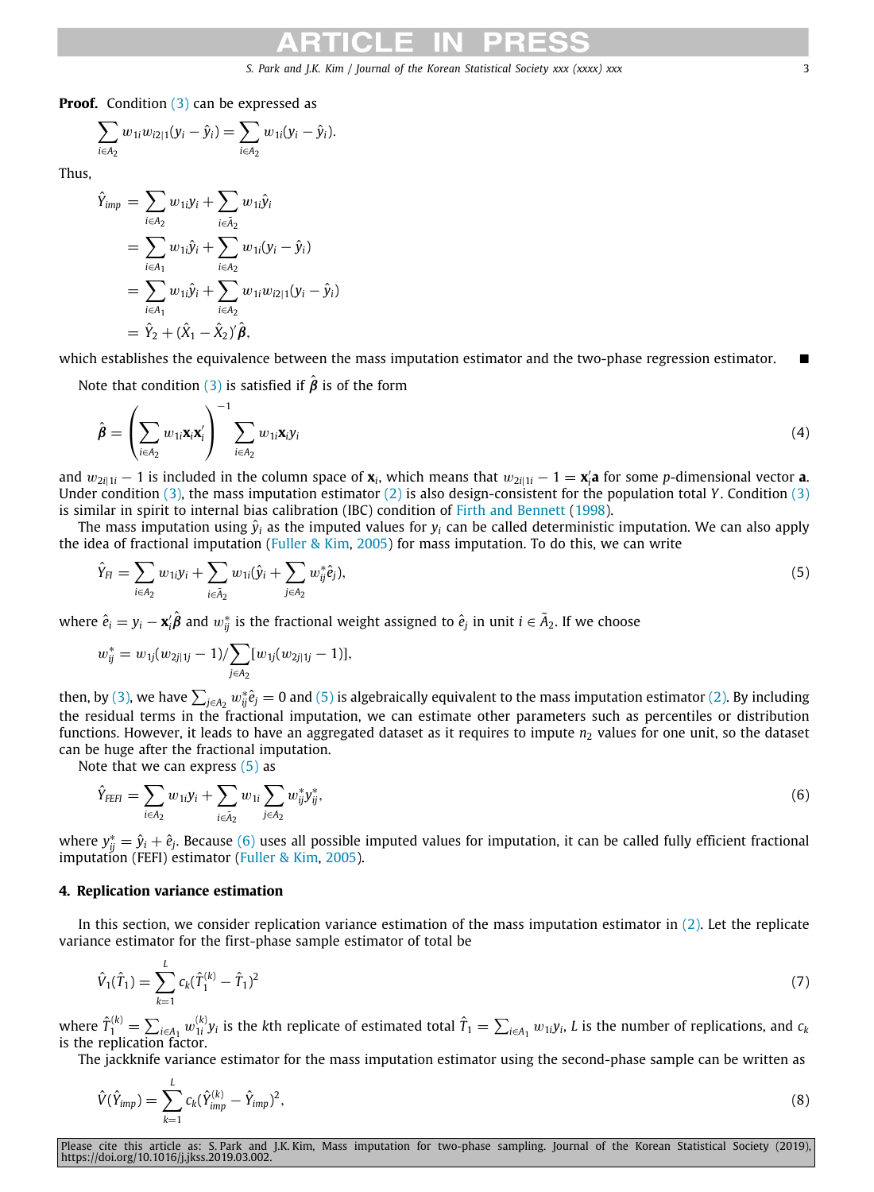**Proof.** Condition ([3\)](#page-1-4) can be expressed as

$$
\sum_{i\in A_2} w_{1i}w_{i2|1}(y_i - \hat{y}_i) = \sum_{i\in A_2} w_{1i}(y_i - \hat{y}_i).
$$

Thus,

$$
\hat{Y}_{imp} = \sum_{i \in A_2} w_{1i} y_i + \sum_{i \in \tilde{A}_2} w_{1i} \hat{y}_i
$$
\n
$$
= \sum_{i \in A_1} w_{1i} \hat{y}_i + \sum_{i \in A_2} w_{1i} (y_i - \hat{y}_i)
$$
\n
$$
= \sum_{i \in A_1} w_{1i} \hat{y}_i + \sum_{i \in A_2} w_{1i} w_{i2} (y_i - \hat{y}_i)
$$
\n
$$
= \hat{Y}_2 + (\hat{X}_1 - \hat{X}_2) \hat{\beta},
$$

which establishes the equivalence between the mass imputation estimator and the two-phase regression estimator.

Note that condition [\(3](#page-1-4)) is satisfied if  $\hat{\boldsymbol{\beta}}$  is of the form

<span id="page-2-3"></span>
$$
\hat{\boldsymbol{\beta}} = \left(\sum_{i \in A_2} w_{1i} \mathbf{x}_i \mathbf{x}_i'\right)^{-1} \sum_{i \in A_2} w_{1i} \mathbf{x}_i y_i
$$
\n(4)

and  $w_{2i|1i} - 1$  is included in the column space of  $\mathbf{x}_i$ , which means that  $w_{2i|1i} - 1 = \mathbf{x}'_i \mathbf{a}$  for some *p*-dimensional vector **a**. Under condition [\(3](#page-1-4)), the mass imputation estimator ([2](#page-1-3)) is also design-consistent for the population total *Y*. Condition ([3](#page-1-4)) is similar in spirit to internal bias calibration (IBC) condition of [Firth and Bennett](#page-14-9) [\(1998](#page-14-9)).

The mass imputation using  $\hat{y}_i$  as the imputed values for  $y_i$  can be called deterministic imputation. We can also apply the idea of fractional imputation [\(Fuller & Kim,](#page-14-10) [2005\)](#page-14-10) for mass imputation. To do this, we can write

$$
\hat{Y}_{FI} = \sum_{i \in A_2} w_{1i} y_i + \sum_{i \in \tilde{A}_2} w_{1i} (\hat{y}_i + \sum_{j \in A_2} w_{ij}^* \hat{e}_j),
$$
\n(5)

where  $\hat{e}_i = y_i - \mathbf{x}_i' \hat{\boldsymbol{\beta}}$  and  $w_{ij}^*$  is the fractional weight assigned to  $\hat{e}_j$  in unit  $i \in \tilde{A}_2.$  If we choose

<span id="page-2-1"></span>
$$
w_{ij}^* = w_{1j}(w_{2j|1j} - 1) / \sum_{j \in A_2} [w_{1j}(w_{2j|1j} - 1)],
$$

then, by [\(3\)](#page-1-4), we have  $\sum_{j\in A_2}w_j^*\hat e_j=0$  and [\(5\)](#page-2-1) is algebraically equivalent to the mass imputation estimator ([2\)](#page-1-3). By including the residual terms in the fractional imputation, we can estimate other parameters such as percentiles or distribution functions. However, it leads to have an aggregated dataset as it requires to impute  $n_2$  values for one unit, so the dataset can be huge after the fractional imputation.

Note that we can express  $(5)$  $(5)$  as

<span id="page-2-2"></span>
$$
\hat{Y}_{FEH} = \sum_{i \in A_2} w_{1i} y_i + \sum_{i \in \tilde{A}_2} w_{1i} \sum_{j \in A_2} w_{ij}^* y_{ij}^*,
$$
\n(6)

where  $y_{ij}^* = \hat{y}_i + \hat{e}_j$ . Because [\(6\)](#page-2-2) uses all possible imputed values for imputation, it can be called fully efficient fractional imputation (FEFI) estimator ([Fuller & Kim](#page-14-10), [2005](#page-14-10)).

# **4. Replication variance estimation**

<span id="page-2-0"></span>In this section, we consider replication variance estimation of the mass imputation estimator in  $(2)$  $(2)$ . Let the replicate variance estimator for the first-phase sample estimator of total be

<span id="page-2-4"></span>
$$
\hat{V}_1(\hat{T}_1) = \sum_{k=1}^{L} c_k (\hat{T}_1^{(k)} - \hat{T}_1)^2
$$
\n(7)

where  $\hat{T}_{1}^{(k)} = \sum_{i \in A_1} w_{1i}^{(k)} y_i$  is the kth replicate of estimated total  $\hat{T}_1 = \sum_{i \in A_1} w_{1i} y_i$ , L is the number of replications, and  $c_k$ is the replication factor.

The jackknife variance estimator for the mass imputation estimator using the second-phase sample can be written as

<span id="page-2-5"></span>
$$
\hat{V}(\hat{Y}_{\text{imp}}) = \sum_{k=1}^{L} c_k (\hat{Y}_{\text{imp}}^{(k)} - \hat{Y}_{\text{imp}})^2,
$$
\n(8)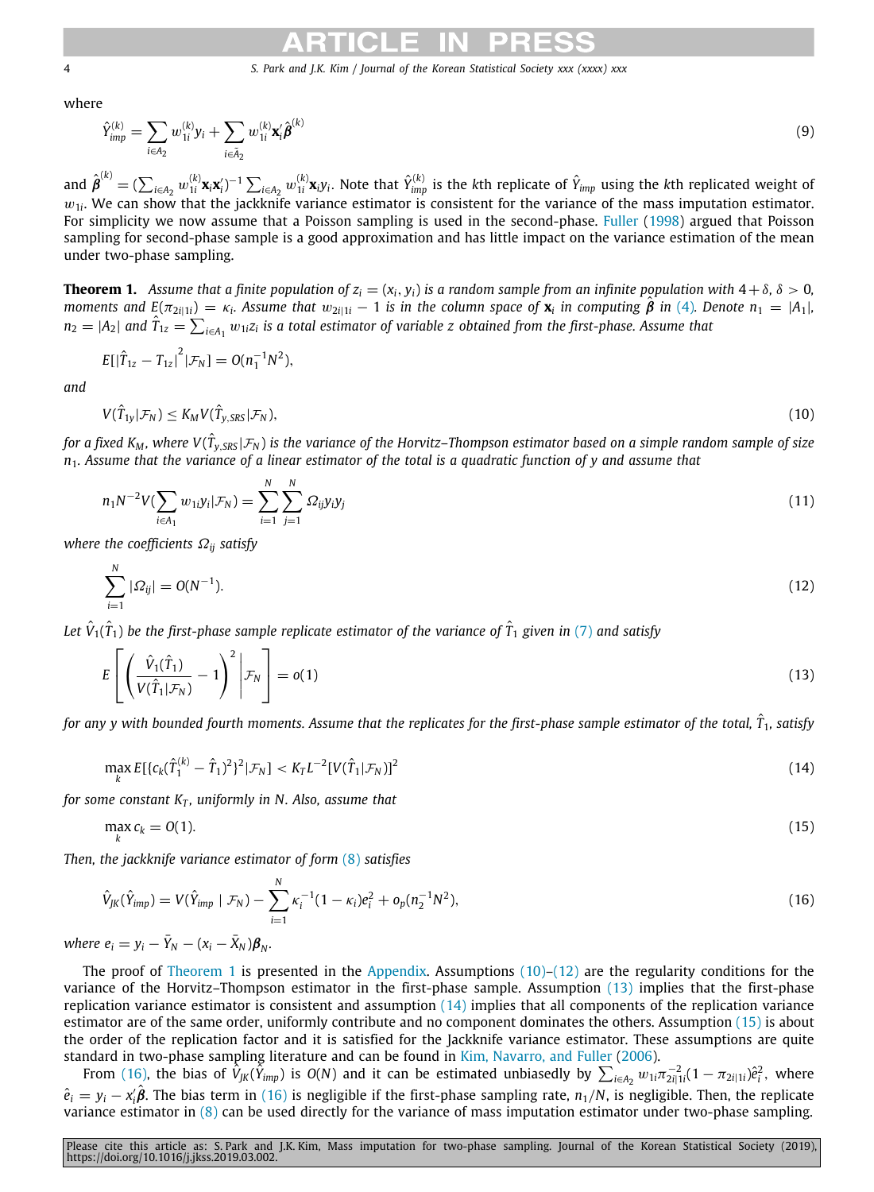where

<span id="page-3-7"></span>
$$
\hat{Y}_{\text{imp}}^{(k)} = \sum_{i \in A_2} w_{1i}^{(k)} y_i + \sum_{i \in \tilde{A}_2} w_{1i}^{(k)} \mathbf{x}_i' \hat{\boldsymbol{\beta}}^{(k)}
$$
(9)

and  $\hat{\pmb{\beta}}^{(k)}=(\sum_{i\in A_2}w_{1i}^{(k)}\textbf{x}_i\textbf{x}_i')^{-1}\sum_{i\in A_2}w_{1i}^{(k)}\textbf{x}_i y_i.$  Note that  $\hat{Y}_{imp}^{(k)}$  is the  $k$ th replicate of  $\hat{Y}_{imp}$  using the  $k$ th replicated weight of  $w_{1i}$ . We can show that the jackknife variance estimator is consistent for the variance of the mass imputation estimator. For simplicity we now assume that a Poisson sampling is used in the second-phase. [Fuller](#page-14-11) [\(1998](#page-14-11)) argued that Poisson sampling for second-phase sample is a good approximation and has little impact on the variance estimation of the mean under two-phase sampling.

<span id="page-3-0"></span>**Theorem 1.** Assume that a finite population of  $z_i = (x_i, y_i)$  is a random sample from an infinite population with  $4 + \delta$ ,  $\delta > 0$ , moments and  $E(\pi_{2i|1i}) = \kappa_i$ . Assume that  $w_{2i|1i} - 1$  is in the column space of  $\mathbf{x}_i$  in computing  $\hat{\boldsymbol{\beta}}$  in ([4\)](#page-2-3). Denote  $n_1 = |A_1|$ ,  $n_2=|A_2|$  and  $\hat{T}_{1z}=\sum_{i\in A_1}w_{1i}z_i$  is a total estimator of variable  $z$  obtained from the first-phase. Assume that

$$
E[|\hat{T}_{1z} - T_{1z}|^2 | \mathcal{F}_N] = O(n_1^{-1}N^2),
$$

*and*

<span id="page-3-1"></span>
$$
V(\hat{T}_{1y}|\mathcal{F}_N) \leq K_M V(\hat{T}_{y,SRS}|\mathcal{F}_N),\tag{10}
$$

*for a fixed K<sup>M</sup> , where V*(*T*ˆ *<sup>y</sup>*,*SRS* |F*<sup>N</sup>* ) *is the variance of the Horvitz–Thompson estimator based on a simple random sample of size n*1*. Assume that the variance of a linear estimator of the total is a quadratic function of y and assume that*

<span id="page-3-8"></span>
$$
n_1 N^{-2} V(\sum_{i \in A_1} w_{1i} y_i | \mathcal{F}_N) = \sum_{i=1}^N \sum_{j=1}^N \Omega_{ij} y_i y_j \tag{11}
$$

*where the coefficients* Ω*ij satisfy*

<span id="page-3-2"></span>
$$
\sum_{i=1}^{N} |\Omega_{ij}| = O(N^{-1}).
$$
\n(12)

Let  $\hat{V}_1(\hat{T}_1)$  be the first-phase sample replicate estimator of the variance of  $\hat{T}_1$  given in [\(7](#page-2-4)) and satisfy

<span id="page-3-3"></span>
$$
E\left[\left(\frac{\hat{V}_1(\hat{T}_1)}{V(\hat{T}_1|\mathcal{F}_N)} - 1\right)^2 \middle| \mathcal{F}_N\right] = o(1)
$$
\n(13)

*for any y with bounded fourth moments. Assume that the replicates for the first-phase sample estimator of the total, <sup>T</sup>*ˆ <sup>1</sup>*, satisfy*

<span id="page-3-4"></span>
$$
\max_{k} E[\{c_k(\hat{T}_1^{(k)} - \hat{T}_1)^2\}^2 | \mathcal{F}_N] < K_T L^{-2} [V(\hat{T}_1 | \mathcal{F}_N)]^2 \tag{14}
$$

*for some constant K<sub>T</sub>, uniformly in N. Also, assume that* 

<span id="page-3-6"></span><span id="page-3-5"></span>
$$
\max_{k} c_k = O(1). \tag{15}
$$

*Then, the jackknife variance estimator of form* ([8](#page-2-5)) *satisfies*

$$
\hat{V}_{JK}(\hat{Y}_{imp}) = V(\hat{Y}_{imp} \mid \mathcal{F}_N) - \sum_{i=1}^N \kappa_i^{-1} (1 - \kappa_i) e_i^2 + o_p(n_2^{-1} N^2), \qquad (16)
$$

 $where e_i = y_i - \bar{Y}_N - (x_i - \bar{X}_N)\boldsymbol{\beta}_N.$ 

The proof of [Theorem](#page-3-0) [1](#page-3-0) is presented in the [Appendix.](#page-10-0) Assumptions  $(10)-(12)$  $(10)-(12)$  $(10)-(12)$  are the regularity conditions for the variance of the Horvitz–Thompson estimator in the first-phase sample. Assumption ([13](#page-3-3)) implies that the first-phase replication variance estimator is consistent and assumption  $(14)$  $(14)$  $(14)$  implies that all components of the replication variance estimator are of the same order, uniformly contribute and no component dominates the others. Assumption ([15](#page-3-5)) is about the order of the replication factor and it is satisfied for the Jackknife variance estimator. These assumptions are quite standard in two-phase sampling literature and can be found in [Kim, Navarro, and Fuller](#page-14-12) [\(2006\)](#page-14-12).

From ([16](#page-3-6)), the bias of  $\hat{V}_{JK}(\tilde{Y}_{imp})$  is  $O(N)$  and it can be estimated unbiasedly by  $\sum_{i\in A_2}w_{1i}\pi_{2i|1i}^{-2}(1-\pi_{2i|1i})\hat{e}_i^2$ , where  $\hat{e}_i = y_i - x'_i\hat{\boldsymbol{\beta}}$ . The bias term in [\(16\)](#page-3-6) is negligible if the first-phase sampling rate,  $n_1/N$ , is negligible. Then, the replicate variance estimator in ([8\)](#page-2-5) can be used directly for the variance of mass imputation estimator under two-phase sampling.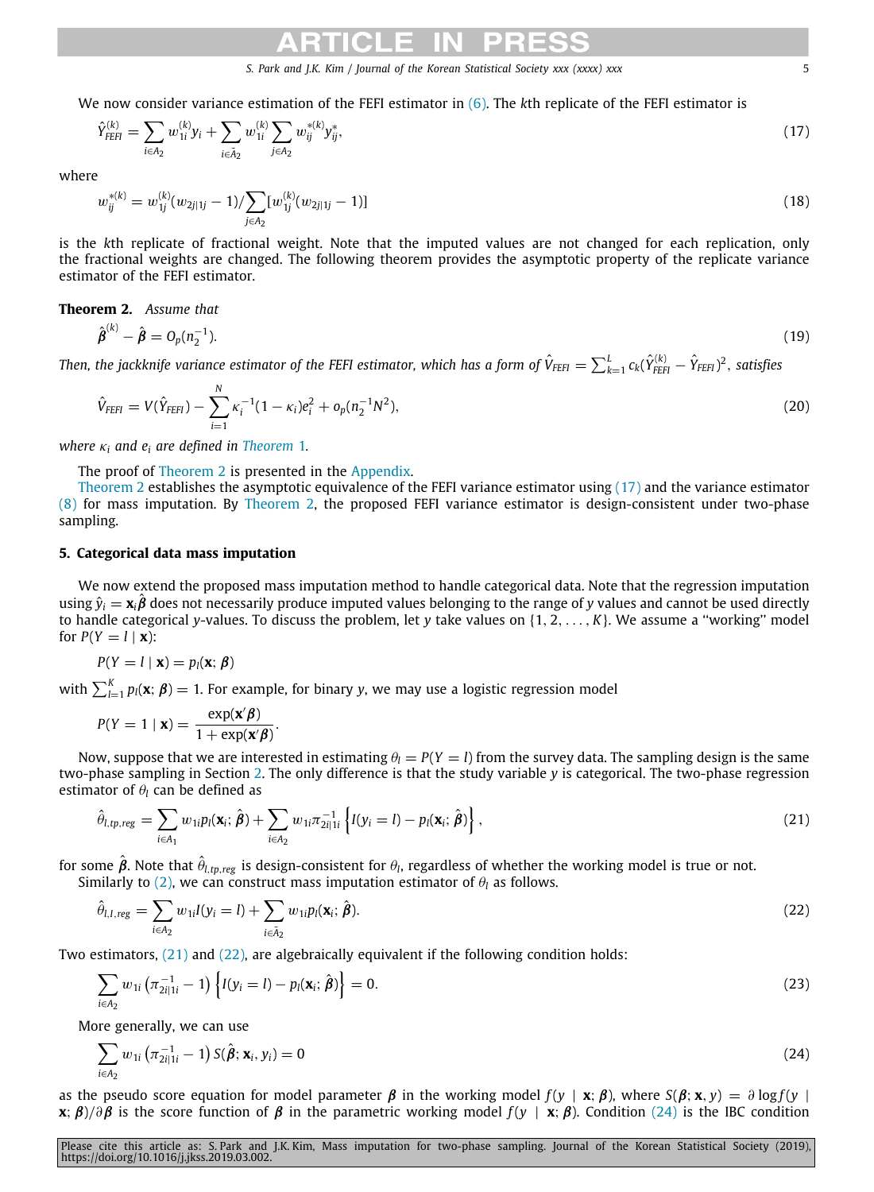We now consider variance estimation of the FEFI estimator in [\(6\)](#page-2-2). The *k*th replicate of the FEFI estimator is

$$
\hat{Y}_{FEH}^{(k)} = \sum_{i \in A_2} w_{1i}^{(k)} y_i + \sum_{i \in \tilde{A}_2} w_{1i}^{(k)} \sum_{j \in A_2} w_{ij}^{*(k)} y_{ij}^*,
$$
\n(17)

where

<span id="page-4-8"></span><span id="page-4-2"></span>
$$
w_{ij}^{*(k)} = w_{1j}^{(k)}(w_{2j|1j} - 1) / \sum_{j \in A_2} [w_{1j}^{(k)}(w_{2j|1j} - 1)] \tag{18}
$$

is the *k*th replicate of fractional weight. Note that the imputed values are not changed for each replication, only the fractional weights are changed. The following theorem provides the asymptotic property of the replicate variance estimator of the FEFI estimator.

# <span id="page-4-1"></span>**Theorem 2.** *Assume that*

$$
\hat{\beta}^{(k)} - \hat{\beta} = O_p(n_2^{-1}).
$$
\n(19)

Then, the jackknife variance estimator of the FEFI estimator, which has a form of  $\hat{V}_{FEH}=\sum_{k=1}^L c_k(\hat{Y}_{FEH}^{(k)}-\hat{Y}_{FEH})^2$ , satisfies

<span id="page-4-9"></span><span id="page-4-7"></span>
$$
\hat{V}_{FEH} = V(\hat{Y}_{FEH}) - \sum_{i=1}^{N} \kappa_i^{-1} (1 - \kappa_i) e_i^2 + o_p(n_2^{-1} N^2),
$$
\n(20)

*where*  $\kappa_i$  *and*  $e_i$  *are defined in [Theorem](#page-3-0) [1](#page-3-0).* 

The proof of [Theorem](#page-4-1) [2](#page-4-1) is presented in the [Appendix.](#page-13-0)

[Theorem](#page-4-1) [2](#page-4-1) establishes the asymptotic equivalence of the FEFI variance estimator using ([17](#page-4-2)) and the variance estimator ([8\)](#page-2-5) for mass imputation. By [Theorem](#page-4-1) [2,](#page-4-1) the proposed FEFI variance estimator is design-consistent under two-phase sampling.

# **5. Categorical data mass imputation**

<span id="page-4-0"></span>We now extend the proposed mass imputation method to handle categorical data. Note that the regression imputation using  $\hat{y}_i = \mathbf{x}_i \boldsymbol{\beta}$  does not necessarily produce imputed values belonging to the range of y values and cannot be used directly to handle categorical *y*-values. To discuss the problem, let *y* take values on {1, 2, . . . , *K*}. We assume a ''working'' model for  $P(Y = l | \mathbf{x})$ :

$$
P(Y = l \mid \mathbf{x}) = p_l(\mathbf{x}; \boldsymbol{\beta})
$$

with  $\sum_{l=1}^{K} p_l(\mathbf{x}; \boldsymbol{\beta}) = 1$ . For example, for binary *y*, we may use a logistic regression model

$$
P(Y = 1 | \mathbf{x}) = \frac{\exp(\mathbf{x}'\boldsymbol{\beta})}{1 + \exp(\mathbf{x}'\boldsymbol{\beta})}.
$$

Now, suppose that we are interested in estimating  $\theta_l = P(Y = l)$  from the survey data. The sampling design is the same two-phase sampling in Section [2](#page-1-0). The only difference is that the study variable *y* is categorical. The two-phase regression estimator of  $\theta_l$  can be defined as

<span id="page-4-3"></span>
$$
\hat{\theta}_{l,tp,reg} = \sum_{i \in A_1} w_{1i} p_l(\mathbf{x}_i; \hat{\boldsymbol{\beta}}) + \sum_{i \in A_2} w_{1i} \pi_{2i|1i}^{-1} \left\{ I(y_i = l) - p_l(\mathbf{x}_i; \hat{\boldsymbol{\beta}}) \right\},\tag{21}
$$

for some  $\hat{\bm{\beta}}$ . Note that  $\hat{\theta}_{l,tp,reg}$  is design-consistent for  $\theta_l$ , regardless of whether the working model is true or not. Similarly to [\(2](#page-1-3)), we can construct mass imputation estimator of  $\theta_l$  as follows.

$$
\hat{\theta}_{l,I,reg} = \sum_{i \in A_2} w_{1i} I(y_i = l) + \sum_{i \in \tilde{A}_2} w_{1i} p_l(\mathbf{x}_i; \hat{\boldsymbol{\beta}}).
$$
\n(22)

Two estimators, [\(21\)](#page-4-3) and ([22](#page-4-4)), are algebraically equivalent if the following condition holds:

<span id="page-4-6"></span><span id="page-4-4"></span>
$$
\sum_{i \in A_2} w_{1i} \left( \pi_{2i|1i}^{-1} - 1 \right) \left\{ I(y_i = l) - p_l(\mathbf{x}_i; \hat{\boldsymbol{\beta}}) \right\} = 0. \tag{23}
$$

More generally, we can use

<span id="page-4-5"></span>
$$
\sum_{i \in A_2} w_{1i} \left( \pi_{2i|1i}^{-1} - 1 \right) S(\hat{\beta}; \mathbf{x}_i, y_i) = 0 \tag{24}
$$

as the pseudo score equation for model parameter  $\beta$  in the working model  $f(y | \mathbf{x}; \beta)$ , where  $S(\beta; \mathbf{x}, y) = \partial \log f(y)$ **x**;  $\beta$ / $\partial \beta$  is the score function of  $\beta$  in the parametric working model  $f(y | \mathbf{x}; \beta)$ . Condition [\(24\)](#page-4-5) is the IBC condition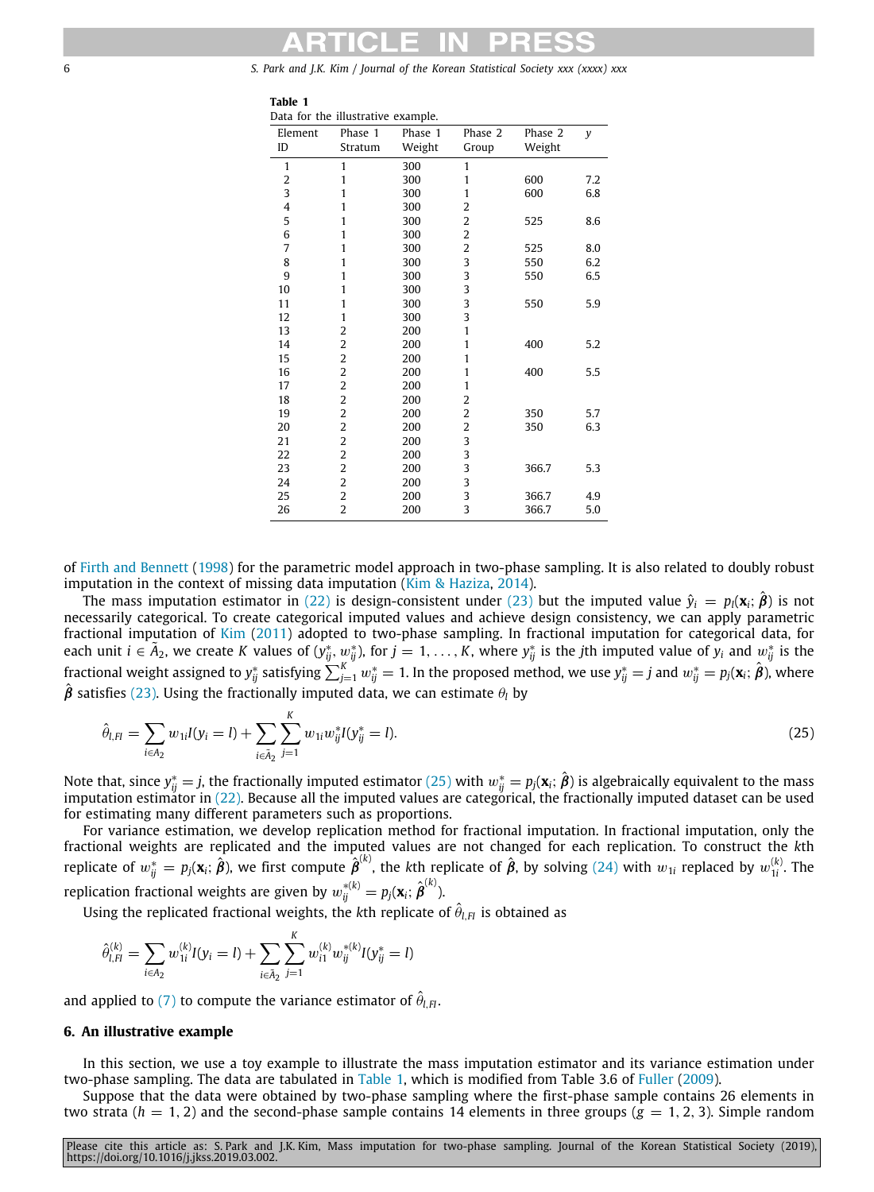<span id="page-5-2"></span>**Table 1**

|              | Data for the illustrative example. |         |                |         |     |
|--------------|------------------------------------|---------|----------------|---------|-----|
| Element      | Phase 1                            | Phase 1 | Phase 2        | Phase 2 | y   |
| ID           | Stratum                            | Weight  | Group          | Weight  |     |
| $\mathbf{1}$ | 1                                  | 300     | 1              |         |     |
| 2            | 1                                  | 300     | 1              | 600     | 7.2 |
| 3            | 1                                  | 300     | 1              | 600     | 6.8 |
| 4            | 1                                  | 300     | 2              |         |     |
| 5            | 1                                  | 300     | 2              | 525     | 8.6 |
| 6            | 1                                  | 300     | $\overline{c}$ |         |     |
| 7            | 1                                  | 300     | 2              | 525     | 8.0 |
| 8            | 1                                  | 300     | 3              | 550     | 6.2 |
| 9            | 1                                  | 300     | 3              | 550     | 6.5 |
| 10           | 1                                  | 300     | 3              |         |     |
| 11           | 1                                  | 300     | 3              | 550     | 5.9 |
| 12           | 1                                  | 300     | 3              |         |     |
| 13           | 2                                  | 200     | 1              |         |     |
| 14           | 2                                  | 200     | 1              | 400     | 5.2 |
| 15           | $\overline{2}$                     | 200     | 1              |         |     |
| 16           | $\overline{c}$                     | 200     | 1              | 400     | 5.5 |
| 17           | $\overline{c}$                     | 200     | 1              |         |     |
| 18           | $\overline{c}$                     | 200     | 2              |         |     |
| 19           | $\overline{c}$                     | 200     | 2              | 350     | 5.7 |
| 20           | 2                                  | 200     | 2              | 350     | 6.3 |
| 21           | $\overline{\mathbf{c}}$            | 200     | 3              |         |     |
| 22           | $\overline{\mathbf{c}}$            | 200     | 3              |         |     |
| 23           | $\overline{2}$                     | 200     | 3              | 366.7   | 5.3 |
| 24           | $\overline{c}$                     | 200     | 3              |         |     |
| 25           | $\overline{2}$                     | 200     | 3              | 366.7   | 4.9 |
| 26           | $\overline{2}$                     | 200     | 3              | 366.7   | 5.0 |

of [Firth and Bennett](#page-14-9) [\(1998](#page-14-9)) for the parametric model approach in two-phase sampling. It is also related to doubly robust imputation in the context of missing data imputation [\(Kim & Haziza](#page-14-13), [2014](#page-14-13)).

The mass imputation estimator in [\(22\)](#page-4-4) is design-consistent under [\(23\)](#page-4-6) but the imputed value  $\hat{y}_i = p_i(\mathbf{x}_i; \hat{\boldsymbol{\beta}})$  is not necessarily categorical. To create categorical imputed values and achieve design consistency, we can apply parametric fractional imputation of [Kim](#page-14-14) ([2011\)](#page-14-14) adopted to two-phase sampling. In fractional imputation for categorical data, for<br>each unit i ∈ Ã<sub>2</sub>, we create K values of (y<sub>ij</sub>, w<sub>ij</sub>), for j = 1, . . . , K, where y<sub>ij</sub> is the jth fractional weight assigned to  $y_{ij}^*$  satisfying  $\sum_{j=1}^Kw_{ij}^*=1.$  In the proposed method, we use  $y_{ij}^*=j$  and  $w_{ij}^*=p_j({\bf x}_i;\hat{\bm{\beta}})$ , where  $\hat{\beta}$  satisfies ([23](#page-4-6)). Using the fractionally imputed data, we can estimate  $\theta_l$  by

<span id="page-5-1"></span>
$$
\hat{\theta}_{l,Fl} = \sum_{i \in A_2} w_{1i} I(y_i = l) + \sum_{i \in \tilde{A}_2} \sum_{j=1}^K w_{1i} w_{ij}^* I(y_{ij}^* = l).
$$
\n(25)

Note that, since  $y^*_{ij}=j$ , the fractionally imputed estimator ([25](#page-5-1)) with  $w^*_{ij}=p_j(\mathbf{x}_i;\hat{\bm{\beta}})$  is algebraically equivalent to the mass imputation estimator in  $(22)$ . Because all the imputed values are categorical, the fractionally imputed dataset can be used for estimating many different parameters such as proportions.

For variance estimation, we develop replication method for fractional imputation. In fractional imputation, only the fractional weights are replicated and the imputed values are not changed for each replication. To construct the *k*th replicate of  $w_{ij}^* = p_j(\mathbf{x}_i;\hat{\bm{\beta}})$ , we first compute  $\hat{\bm{\beta}}^{(k)}$ , the  $k$ th replicate of  $\hat{\bm{\beta}}$ , by solving [\(24](#page-4-5)) with  $w_{1i}$  replaced by  $w_{1i}^{(k)}$ . The replication fractional weights are given by  $w_{ij}^{*(k)} = p_j(\mathbf{x}_i;\, \hat{\pmb{\beta}}^{(k)}).$ 

Using the replicated fractional weights, the kth replicate of  $\hat{\theta}_{l,Fl}$  is obtained as

$$
\hat{\theta}_{l,H}^{(k)} = \sum_{i \in A_2} w_{1i}^{(k)} I(y_i = l) + \sum_{i \in \tilde{A}_2} \sum_{j=1}^K w_{i1}^{(k)} w_{ij}^{*(k)} I(y_{ij}^* = l)
$$

and applied to ([7\)](#page-2-4) to compute the variance estimator of  $\hat{\theta}_{l,H}.$ 

## **6. An illustrative example**

<span id="page-5-0"></span>In this section, we use a toy example to illustrate the mass imputation estimator and its variance estimation under two-phase sampling. The data are tabulated in [Table](#page-5-2) [1,](#page-5-2) which is modified from Table 3.6 of [Fuller](#page-14-8) ([2009\)](#page-14-8).

Suppose that the data were obtained by two-phase sampling where the first-phase sample contains 26 elements in two strata  $(h = 1, 2)$  and the second-phase sample contains 14 elements in three groups  $(g = 1, 2, 3)$ . Simple random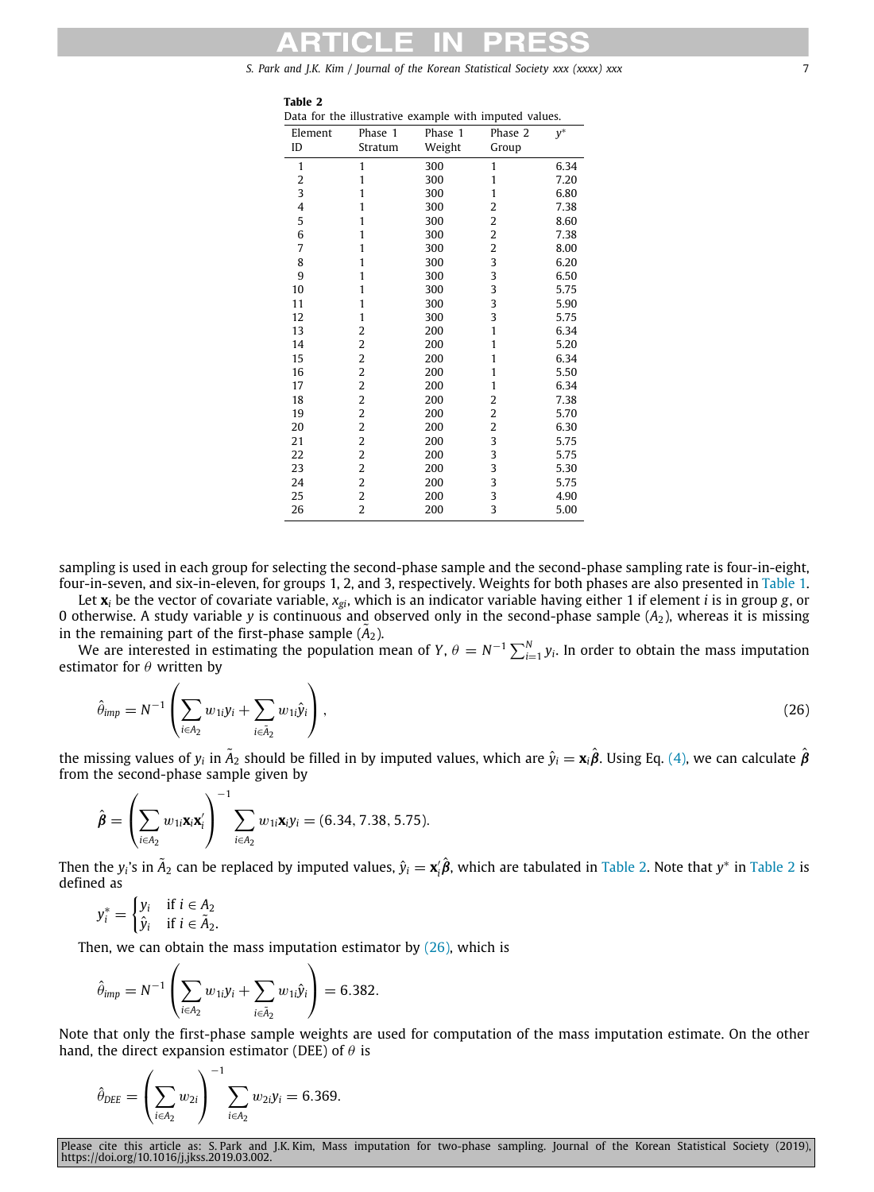| . .<br>. .<br>× |  |
|-----------------|--|
|-----------------|--|

<span id="page-6-0"></span>

|  |  | Data for the illustrative example with imputed values. |  |  |
|--|--|--------------------------------------------------------|--|--|
|  |  |                                                        |  |  |

|         | Data for the mustrative example with imputed values. |         |                         |       |  |  |  |
|---------|------------------------------------------------------|---------|-------------------------|-------|--|--|--|
| Element | Phase 1                                              | Phase 1 | Phase 2                 | $y^*$ |  |  |  |
| ID      | Stratum                                              | Weight  | Group                   |       |  |  |  |
| 1       | 1                                                    | 300     | $\mathbf{1}$            | 6.34  |  |  |  |
| 2       | 1                                                    | 300     | 1                       | 7.20  |  |  |  |
| 3       | 1                                                    | 300     | $\mathbf{1}$            | 6.80  |  |  |  |
| 4       | 1                                                    | 300     | $\overline{\mathbf{c}}$ | 7.38  |  |  |  |
| 5       | 1                                                    | 300     | 2                       | 8.60  |  |  |  |
| 6       | 1                                                    | 300     | $\overline{\mathbf{c}}$ | 7.38  |  |  |  |
| 7       | 1                                                    | 300     | 2                       | 8.00  |  |  |  |
| 8       | 1                                                    | 300     | 3                       | 6.20  |  |  |  |
| 9       | 1                                                    | 300     | 3                       | 6.50  |  |  |  |
| 10      | 1                                                    | 300     | 3                       | 5.75  |  |  |  |
| 11      | 1                                                    | 300     | 3                       | 5.90  |  |  |  |
| 12      | 1                                                    | 300     | 3                       | 5.75  |  |  |  |
| 13      | 2                                                    | 200     | $\mathbf{1}$            | 6.34  |  |  |  |
| 14      | 2                                                    | 200     | 1                       | 5.20  |  |  |  |
| 15      | $\overline{\mathbf{c}}$                              | 200     | $\mathbf{1}$            | 6.34  |  |  |  |
| 16      | 2                                                    | 200     | 1                       | 5.50  |  |  |  |
| 17      | $\overline{\mathbf{c}}$                              | 200     | $\mathbf{1}$            | 6.34  |  |  |  |
| 18      | $\overline{\mathbf{c}}$                              | 200     | 2                       | 7.38  |  |  |  |
| 19      | $\overline{2}$                                       | 200     | $\overline{\mathbf{c}}$ | 5.70  |  |  |  |
| 20      | $\overline{c}$                                       | 200     | $\overline{c}$          | 6.30  |  |  |  |
| 21      | 2                                                    | 200     | 3                       | 5.75  |  |  |  |
| 22      | 2                                                    | 200     | 3                       | 5.75  |  |  |  |
| 23      | 2                                                    | 200     | 3                       | 5.30  |  |  |  |
| 24      | $\overline{c}$                                       | 200     | 3                       | 5.75  |  |  |  |
| 25      | 2                                                    | 200     | 3                       | 4.90  |  |  |  |
| 26      | $\overline{c}$                                       | 200     | 3                       | 5.00  |  |  |  |
|         |                                                      |         |                         |       |  |  |  |

sampling is used in each group for selecting the second-phase sample and the second-phase sampling rate is four-in-eight, four-in-seven, and six-in-eleven, for groups 1, 2, and 3, respectively. Weights for both phases are also presented in [Table](#page-5-2) [1](#page-5-2).

Let **x***<sup>i</sup>* be the vector of covariate variable, *xgi*, which is an indicator variable having either 1 if element *i* is in group *g*, or 0 otherwise. A study variable *y* is continuous and observed only in the second-phase sample (*A*2), whereas it is missing in the remaining part of the first-phase sample  $(A_2)$ .

We are interested in estimating the population mean of *Y*,  $\theta = N^{-1} \sum_{i=1}^{N} y_i$ . In order to obtain the mass imputation estimator for  $\theta$  written by

<span id="page-6-1"></span>
$$
\hat{\theta}_{\text{imp}} = N^{-1} \left( \sum_{i \in A_2} w_{1i} y_i + \sum_{i \in \tilde{A}_2} w_{1i} \hat{y}_i \right), \tag{26}
$$

the missing values of  $y_i$  in  $\tilde A_2$  should be filled in by imputed values, which are  $\hat y_i = \mathbf{x}_i\hat\beta$ . Using Eq. ([4](#page-2-3)), we can calculate  $\hat\beta$ from the second-phase sample given by

$$
\hat{\pmb{\beta}} = \left(\sum_{i \in A_2} w_{1i} \mathbf{x}_i \mathbf{x}_i'\right)^{-1} \sum_{i \in A_2} w_{1i} \mathbf{x}_i y_i = (6.34, 7.38, 5.75).
$$

Then the  $y_i$ 's in  $\tilde A_2$  $\tilde A_2$  can be replaced by imputed values,  $\hat y_i = x'_i\hat\beta$ , which are tabulated in [Table](#page-6-0) 2. Note that  $y^*$  in Table 2 is defined as

$$
y_i^* = \begin{cases} y_i & \text{if } i \in A_2 \\ \hat{y}_i & \text{if } i \in \tilde{A}_2. \end{cases}
$$

Then, we can obtain the mass imputation estimator by  $(26)$  $(26)$  $(26)$ , which is

$$
\hat{\theta}_{\text{imp}} = N^{-1} \left( \sum_{i \in A_2} w_{1i} y_i + \sum_{i \in \tilde{A}_2} w_{1i} \hat{y}_i \right) = 6.382.
$$

Note that only the first-phase sample weights are used for computation of the mass imputation estimate. On the other hand, the direct expansion estimator (DEE) of  $\theta$  is

$$
\hat{\theta}_{\text{DEE}} = \left(\sum_{i \in A_2} w_{2i}\right)^{-1} \sum_{i \in A_2} w_{2i} y_i = 6.369.
$$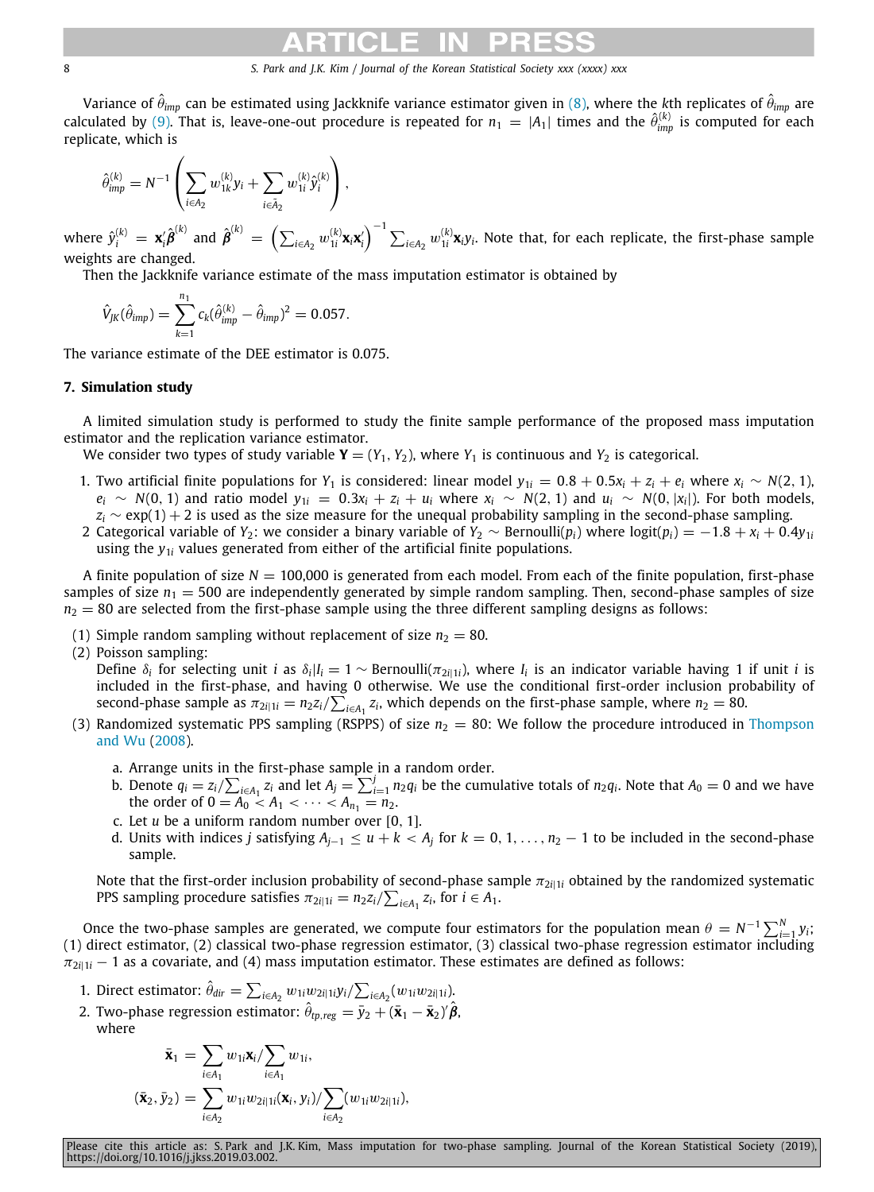Variance of  $\hat{\theta}_{imp}$  can be estimated using Jackknife variance estimator given in [\(8](#page-2-5)), where the *k*th replicates of  $\hat{\theta}_{imp}$  are calculated by [\(9\)](#page-3-7). That is, leave-one-out procedure is repeated for  $n_1 = |A_1|$  times and the  $\hat{\theta}_{imp}^{(k)}$  is computed for each replicate, which is

$$
\hat{\theta}_{imp}^{(k)} = N^{-1} \left( \sum_{i \in A_2} w_{1k}^{(k)} y_i + \sum_{i \in \tilde{A}_2} w_{1i}^{(k)} \hat{y}_i^{(k)} \right),
$$

where  $\hat{y}^{(k)}_i\,=\,\mathbf{x}_i'\hat{\bm{\beta}}^{(k)}$  and  $\hat{\bm{\beta}}^{(k)}\,=\,\left(\sum_{i\in A_2}w_{1i}^{(k)}\mathbf{x}_i\mathbf{x}_i'\right)^{-1}\sum_{i\in A_2}w_{1i}^{(k)}\mathbf{x}_i y_i.$  Note that, for each replicate, the first-phase sample weights are changed.

Then the Jackknife variance estimate of the mass imputation estimator is obtained by

$$
\hat{V}_{JK}(\hat{\theta}_{imp}) = \sum_{k=1}^{n_1} c_k (\hat{\theta}_{imp}^{(k)} - \hat{\theta}_{imp})^2 = 0.057.
$$

The variance estimate of the DEE estimator is 0.075.

# **7. Simulation study**

<span id="page-7-0"></span>A limited simulation study is performed to study the finite sample performance of the proposed mass imputation estimator and the replication variance estimator.

We consider two types of study variable  $Y = (Y_1, Y_2)$ , where  $Y_1$  is continuous and  $Y_2$  is categorical.

- 1. Two artificial finite populations for  $Y_1$  is considered: linear model  $y_{1i} = 0.8 + 0.5x_i + z_i + e_i$  where  $x_i \sim N(2, 1)$ ,  $e_i \sim N(0, 1)$  and ratio model  $y_{1i} = 0.3x_i + z_i + u_i$  where  $x_i \sim N(2, 1)$  and  $u_i \sim N(0, |x_i|)$ . For both models,  $z_i$  ∼ exp(1) + 2 is used as the size measure for the unequal probability sampling in the second-phase sampling.
- 2 Categorical variable of *Y*<sub>2</sub>: we consider a binary variable of *Y*<sub>2</sub> ∼ Bernoulli(*p*<sub>*i*</sub>) where logit(*p*<sub>*i*</sub>) = −1.8 + *x*<sub>*i*</sub> + 0.4*y*<sub>1*i*</sub> using the  $y_{1i}$  values generated from either of the artificial finite populations.

A finite population of size  $N = 100,000$  is generated from each model. From each of the finite population, first-phase samples of size  $n_1 = 500$  are independently generated by simple random sampling. Then, second-phase samples of size  $n_2 = 80$  are selected from the first-phase sample using the three different sampling designs as follows:

(1) Simple random sampling without replacement of size  $n_2 = 80$ .

(2) Poisson sampling:

Define  $\delta_i$  for selecting unit *i* as  $\delta_i|I_i=1\sim$  Bernoulli( $\pi_{2i|1i}$ ), where  $I_i$  is an indicator variable having 1 if unit *i* is included in the first-phase, and having 0 otherwise. We use the conditional first-order inclusion probability of second-phase sample as  $\pi_{2i|1i} = n_2 z_i / \sum_{i \in A_1} z_i$ , which depends on the first-phase sample, where  $n_2 = 80$ .

- (3) Randomized systematic PPS sampling (RSPPS) of size  $n_2 = 80$ : We follow the procedure introduced in [Thompson](#page-14-15) [and Wu](#page-14-15) ([2008\)](#page-14-15).
	- a. Arrange units in the first-phase sample in a random order.
	- b. Denote  $q_i = z_i/\sum_{i \in A_1} z_i$  and let  $A_j = \sum_{i=1}^j n_2 q_i$  be the cumulative totals of  $n_2 q_i$ . Note that  $A_0 = 0$  and we have the order of  $0 = A_0 < A_1 < \cdots < A_{n_1} = n_2$ .
	- c. Let *u* be a uniform random number over [0, 1].
	- d. Units with indices *j* satisfying  $A_{j-1} \le u + k < A_j$  for  $k = 0, 1, ..., n_2 1$  to be included in the second-phase sample.

Note that the first-order inclusion probability of second-phase sample  $\pi_{2i|1i}$  obtained by the randomized systematic PPS sampling procedure satisfies  $\pi_{2i|1i} = n_2 z_i / \sum_{i \in A_1} z_i$ , for  $i \in A_1$ .

Once the two-phase samples are generated, we compute four estimators for the population mean  $\theta = N^{-1}\sum_{i=1}^N y_i;$ (1) direct estimator, (2) classical two-phase regression estimator, (3) classical two-phase regression estimator including  $\pi_{2i|1i}$  − 1 as a covariate, and (4) mass imputation estimator. These estimates are defined as follows:

- 1. Direct estimator:  $\hat{\theta}_{dir} = \sum_{i \in A_2} w_{1i} w_{2i|1i} y_i / \sum_{i \in A_2} (w_{1i} w_{2i|1i})$ .
- 2. Two-phase regression estimator:  $\hat{\theta}_{rp,reg} = \bar{y}_2 + (\bar{\mathbf{x}}_1 \bar{\mathbf{x}}_2)^r \hat{\boldsymbol{\beta}}$ , where

$$
\bar{\mathbf{x}}_1 = \sum_{i \in A_1} w_{1i} \mathbf{x}_i / \sum_{i \in A_1} w_{1i},
$$
  

$$
(\bar{\mathbf{x}}_2, \bar{y}_2) = \sum_{i \in A_2} w_{1i} w_{2i|1i} (\mathbf{x}_i, y_i) / \sum_{i \in A_2} (w_{1i} w_{2i|1i}),
$$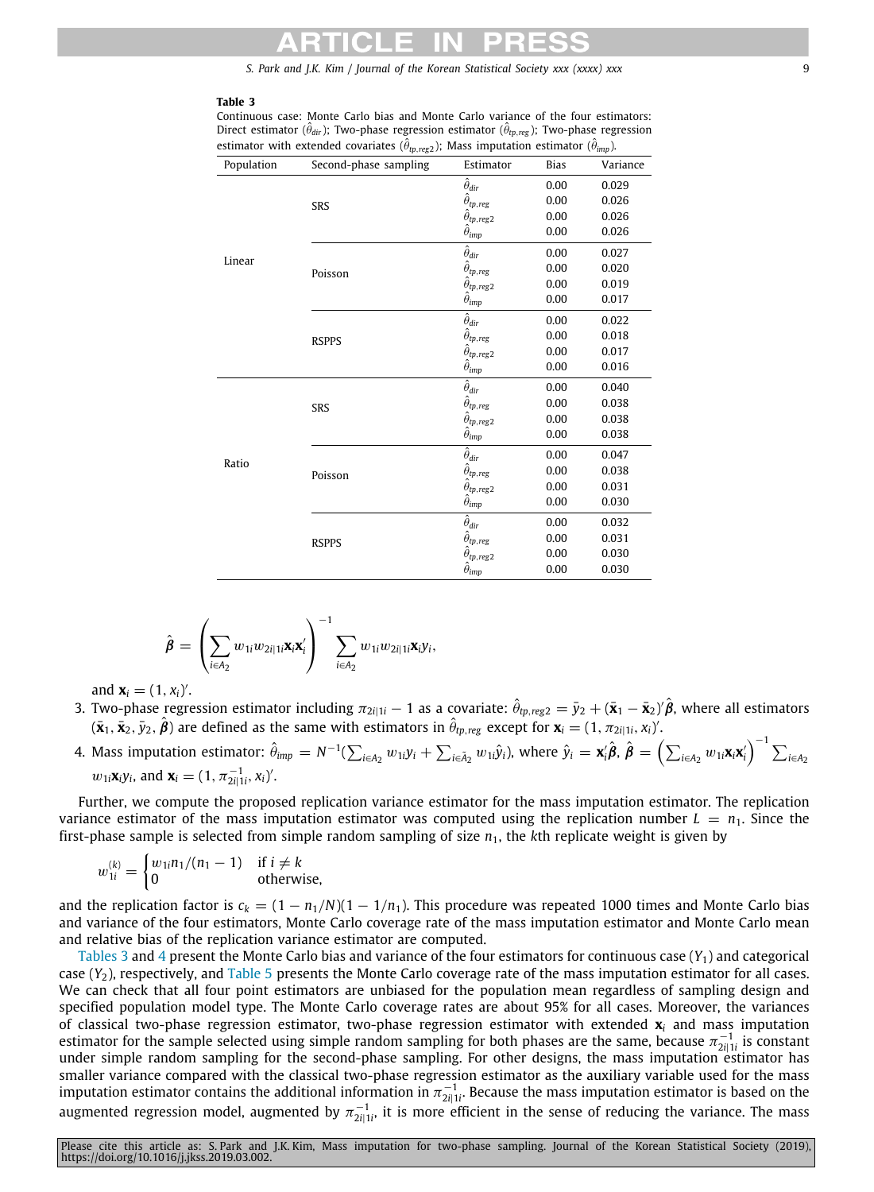### **Table 3**

<span id="page-8-0"></span>Continuous case: Monte Carlo bias and Monte Carlo variance of the four estimators: Direct estimator ( $\hat{\theta}_{dir}$ ); Two-phase regression estimator ( $\hat{\theta}_{tp, reg}$ ); Two-phase regression estimator with extended covariates ( $\hat{\theta}_{tp, reg2}$ ); Mass imputation estimator ( $\hat{\theta}_{imp}$ ).

| Population | Second-phase sampling | Estimator                                | <b>Bias</b> | Variance |
|------------|-----------------------|------------------------------------------|-------------|----------|
|            |                       | $\hat{\theta}_{dir}$                     | 0.00        | 0.029    |
|            | SRS                   | $\hat{\theta}_{tp,reg}$                  | 0.00        | 0.026    |
|            |                       | $\hat{\theta}_{tp,reg2}$                 | 0.00        | 0.026    |
|            |                       | $\hat{\theta}_{\text{imp}}$              | 0.00        | 0.026    |
| Linear     |                       | $\hat{\theta}_{dir}$                     | 0.00        | 0.027    |
|            | Poisson               | $\hat{\theta}_{tp,reg}$                  | 0.00        | 0.020    |
|            |                       | $\hat{\theta}_{tp,reg2}$                 | 0.00        | 0.019    |
|            |                       | $\hat{\theta}_{\text{imp}}$              | 0.00        | 0.017    |
|            |                       | $\hat{\theta}_{dir}$                     | 0.00        | 0.022    |
|            | <b>RSPPS</b>          | $\hat{\theta}_{tp,reg}$                  | 0.00        | 0.018    |
|            |                       | $\hat{\theta}_{tp,reg2}$                 | 0.00        | 0.017    |
|            |                       | $\hat{\theta}_{\text{imp}}$              | 0.00        | 0.016    |
|            |                       | $\hat{\theta}_{dir}$                     | 0.00        | 0.040    |
|            | SRS                   | $\hat{\theta}_{tp,reg}$                  | 0.00        | 0.038    |
|            |                       | $\hat{\theta}_{tp,reg2}$                 | 0.00        | 0.038    |
|            |                       | $\hat{\theta}_{\mbox{\scriptsize{imp}}}$ | 0.00        | 0.038    |
| Ratio      |                       | $\hat{\theta}_{dir}$                     | 0.00        | 0.047    |
|            | Poisson               | $\hat{\theta}_{tp,reg}$                  | 0.00        | 0.038    |
|            |                       | $\hat{\theta}_{tp,reg2}$                 | 0.00        | 0.031    |
|            |                       | $\hat{\theta}_{\mbox{\small{imp}}}$      | 0.00        | 0.030    |
|            |                       | $\hat{\theta}_{dir}$                     | 0.00        | 0.032    |
|            | <b>RSPPS</b>          | $\hat{\theta}_{tp,reg}$                  | 0.00        | 0.031    |
|            |                       | $\hat{\theta}_{tp,reg2}$                 | 0.00        | 0.030    |
|            |                       | $\hat{\theta}_{\text{imp}}$              | 0.00        | 0.030    |

$$
\hat{\boldsymbol{\beta}} = \left(\sum_{i \in A_2} w_{1i} w_{2i|1i} \mathbf{x}_i \mathbf{x}_i'\right)^{-1} \sum_{i \in A_2} w_{1i} w_{2i|1i} \mathbf{x}_i y_i,
$$

and  $\mathbf{x}_i = (1, x_i)'$ .

- 3. Two-phase regression estimator including  $\pi_{2i|1i} 1$  as a covariate:  $\hat{\theta}_{tp, reg2} = \bar{y}_2 + (\bar{x}_1 \bar{x}_2)' \hat{\beta}$ , where all estimators  $(\bar{\mathbf{x}}_1, \bar{\mathbf{x}}_2, \bar{y}_2, \hat{\boldsymbol{\beta}})$  are defined as the same with estimators in  $\hat{\theta}_{tp, reg}$  except for  $\mathbf{x}_i = (1, \pi_{2i|1i}, x_i)'$ .
- 4. Mass imputation estimator:  $\hat{\theta}_{\text{imp}} = N^{-1}(\sum_{i \in A_2} w_{1i}y_i + \sum_{i \in \tilde{A}_2} w_{1i} \hat{y}_i)$ , where  $\hat{y}_i = \mathbf{x}_i' \hat{\boldsymbol{\beta}}, \ \hat{\boldsymbol{\beta}} = \left(\sum_{i \in A_2} w_{1i} \mathbf{x}_i \mathbf{x}_i'\right)^{-1} \sum_{i \in A_2} w_{1i} \mathbf{x}_i$  $w_{1i}$ **x**<sub>*i*</sub> $y_i$ , and **x**<sub>*i*</sub> =  $(1, \pi_{2i|1i}^{-1}, x_i)'$ .

Further, we compute the proposed replication variance estimator for the mass imputation estimator. The replication variance estimator of the mass imputation estimator was computed using the replication number  $L = n_1$ . Since the first-phase sample is selected from simple random sampling of size  $n_1$ , the  $k$ th replicate weight is given by

$$
w_{1i}^{(k)} = \begin{cases} w_{1i}n_1/(n_1 - 1) & \text{if } i \neq k \\ 0 & \text{otherwise,} \end{cases}
$$

and the replication factor is  $c_k = (1 - n_1/N)(1 - 1/n_1)$ . This procedure was repeated 1000 times and Monte Carlo bias and variance of the four estimators, Monte Carlo coverage rate of the mass imputation estimator and Monte Carlo mean and relative bias of the replication variance estimator are computed.

[Tables](#page-8-0) [3](#page-8-0) and [4](#page-9-1) present the Monte Carlo bias and variance of the four estimators for continuous case (*Y*1) and categorical case (*Y*2), respectively, and [Table](#page-9-2) [5](#page-9-2) presents the Monte Carlo coverage rate of the mass imputation estimator for all cases. We can check that all four point estimators are unbiased for the population mean regardless of sampling design and specified population model type. The Monte Carlo coverage rates are about 95% for all cases. Moreover, the variances of classical two-phase regression estimator, two-phase regression estimator with extended **x***<sup>i</sup>* and mass imputation estimator for the sample selected using simple random sampling for both phases are the same, because  $\pi_{2i|1i}^{-1}$  is constant under simple random sampling for the second-phase sampling. For other designs, the mass imputation estimator has smaller variance compared with the classical two-phase regression estimator as the auxiliary variable used for the mass imputation estimator contains the additional information in  $\pi_{2i|1i}^{-1}$ . Because the mass imputation estimator is based on the augmented regression model, augmented by  $\pi_{2i|1i}^{-1}$ , it is more efficient in the sense of reducing the variance. The mass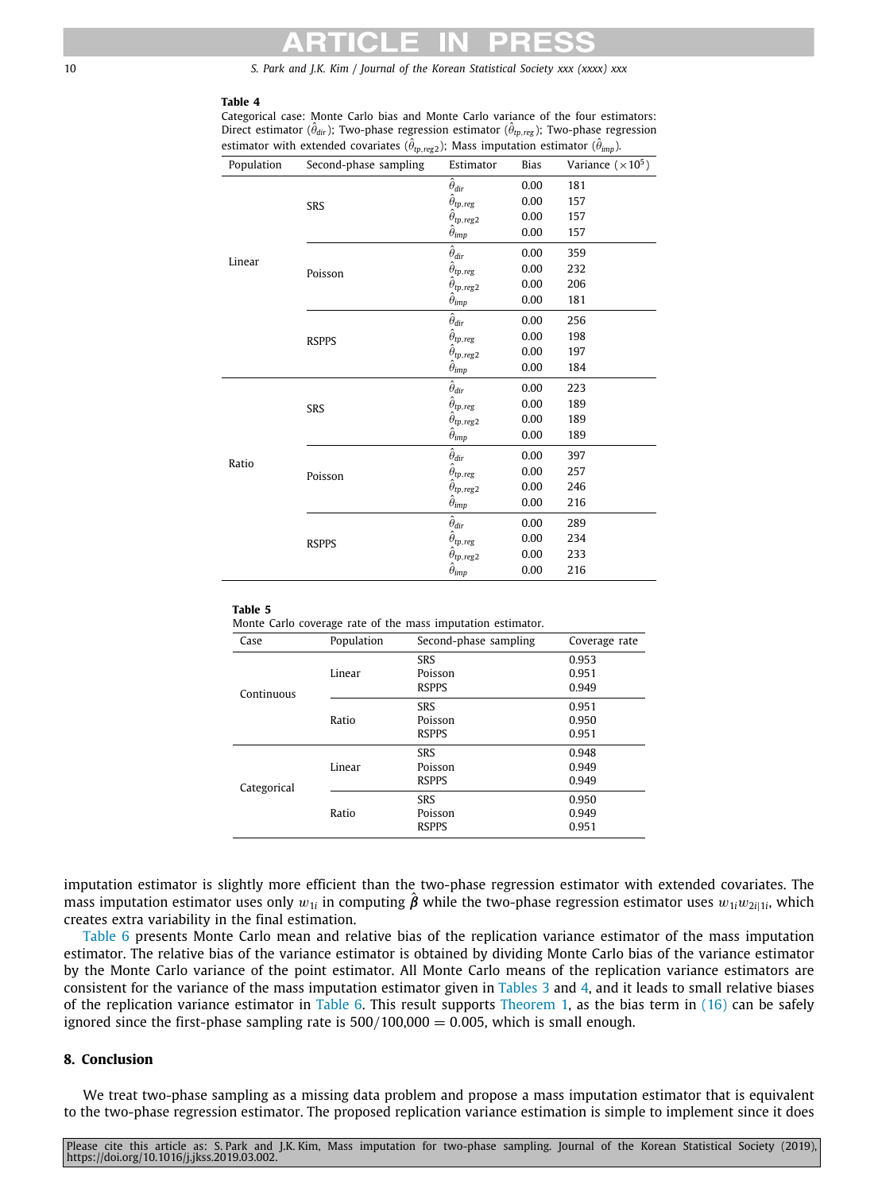# **Table 4**

Categorical case: Monte Carlo bias and Monte Carlo variance of the four estimators: Direct estimator ( $\hat{\theta}_{dir}$ ); Two-phase regression estimator ( $\hat{\theta}_{tp, reg}$ ); Two-phase regression estimator with extended covariates ( $\hat{\theta}_{tp, reg2}$ ); Mass imputation estimator ( $\hat{\theta}_{imp}$ ).

<span id="page-9-1"></span>

| Population | Second-phase sampling | Estimator                                                                                                | <b>Bias</b> | Variance $(\times 10^5)$ |
|------------|-----------------------|----------------------------------------------------------------------------------------------------------|-------------|--------------------------|
|            |                       | $\overbrace{\hat{\theta}_{tp,reg}}^{\hat{\theta}_{dir}}$                                                 | 0.00        | 181                      |
|            | SRS                   |                                                                                                          | 0.00        | 157                      |
|            |                       | $\hat{\theta}_{tp,reg2}$                                                                                 | 0.00        | 157                      |
|            |                       | $\hat{\theta}_{\mbox{\scriptsize{imp}}}$                                                                 | 0.00        | 157                      |
| Linear     |                       | $\hat{\theta}_{dir}$                                                                                     | 0.00        | 359                      |
|            | Poisson               | $\hat{\theta}_{tp,reg}$                                                                                  | 0.00        | 232                      |
|            |                       | $\hat{\theta}_{tp,reg2}$                                                                                 | 0.00        | 206                      |
|            |                       | $\hat{\theta}_{\mbox{\scriptsize{imp}}}$                                                                 | 0.00        | 181                      |
|            | <b>RSPPS</b>          | $\hat{\theta}_{dir}$                                                                                     | 0.00        | 256                      |
|            |                       | $\hat{\theta}_{tp,reg}$                                                                                  | 0.00        | 198                      |
|            |                       | $\hat{\theta}_{tp, reg2}$                                                                                | 0.00        | 197                      |
|            |                       | $\hat{\theta}_{\text{imp}}$                                                                              | 0.00        | 184                      |
|            | SRS                   | $\hat{\theta}_{dir}$                                                                                     | 0.00        | 223                      |
|            |                       | $\stackrel{\cdots}{\theta}_{tp,reg}$                                                                     | 0.00        | 189                      |
|            |                       |                                                                                                          | 0.00        | 189                      |
|            |                       | $\hat{\theta}_{tp,reg2}$<br>$\hat{\theta}_{imp}$                                                         | 0.00        | 189                      |
| Ratio      | Poisson               | $\hat{\theta}_{dir}$                                                                                     | 0.00        | 397                      |
|            |                       | $\hat{\theta}_{\textit{tp},\textit{reg}}$                                                                | 0.00        | 257                      |
|            |                       |                                                                                                          | 0.00        | 246                      |
|            |                       | $\hat{\theta}_{\mathit{tp},\mathit{reg2}}^{\mathit{r}}\newline \hat{\theta}_{\mathit{imp}}^{\mathit{r}}$ | 0.00        | 216                      |
|            | <b>RSPPS</b>          | $\hat{\theta}_{dir}$                                                                                     | 0.00        | 289                      |
|            |                       | $\hat{\theta}_{tp,reg}$                                                                                  | 0.00        | 234                      |
|            |                       | $\hat{\theta}_{tp,reg2}$                                                                                 | 0.00        | 233                      |
|            |                       | $\hat{\theta}_{\text{imp}}$                                                                              | 0.00        | 216                      |

### <span id="page-9-2"></span>**Table 5**

Monte Carlo coverage rate of the mass imputation estimator.

| Case        | Population | Second-phase sampling | Coverage rate |
|-------------|------------|-----------------------|---------------|
|             |            | <b>SRS</b>            | 0.953         |
|             | Linear     | Poisson               | 0.951         |
| Continuous  |            | <b>RSPPS</b>          | 0.949         |
|             |            | <b>SRS</b>            | 0.951         |
|             | Ratio      | Poisson               | 0.950         |
|             |            | <b>RSPPS</b>          | 0.951         |
|             |            | <b>SRS</b>            | 0.948         |
|             | Linear     | Poisson               | 0.949         |
| Categorical |            | <b>RSPPS</b>          | 0.949         |
|             |            | <b>SRS</b>            | 0.950         |
|             | Ratio      | Poisson               | 0.949         |
|             |            | <b>RSPPS</b>          | 0.951         |

imputation estimator is slightly more efficient than the two-phase regression estimator with extended covariates. The mass imputation estimator uses only  $w_{1i}$  in computing  $\hat{B}$  while the two-phase regression estimator uses  $w_{1i}w_{2i|1i}$ , which creates extra variability in the final estimation.

[Table](#page-10-1) [6](#page-10-1) presents Monte Carlo mean and relative bias of the replication variance estimator of the mass imputation estimator. The relative bias of the variance estimator is obtained by dividing Monte Carlo bias of the variance estimator by the Monte Carlo variance of the point estimator. All Monte Carlo means of the replication variance estimators are consistent for the variance of the mass imputation estimator given in [Tables](#page-8-0) [3](#page-8-0) and [4,](#page-9-1) and it leads to small relative biases of the replication variance estimator in [Table](#page-10-1) [6.](#page-10-1) This result supports [Theorem](#page-3-0) [1](#page-3-0), as the bias term in [\(16](#page-3-6)) can be safely ignored since the first-phase sampling rate is  $500/100,000 = 0.005$ , which is small enough.

# **8. Conclusion**

<span id="page-9-0"></span>We treat two-phase sampling as a missing data problem and propose a mass imputation estimator that is equivalent to the two-phase regression estimator. The proposed replication variance estimation is simple to implement since it does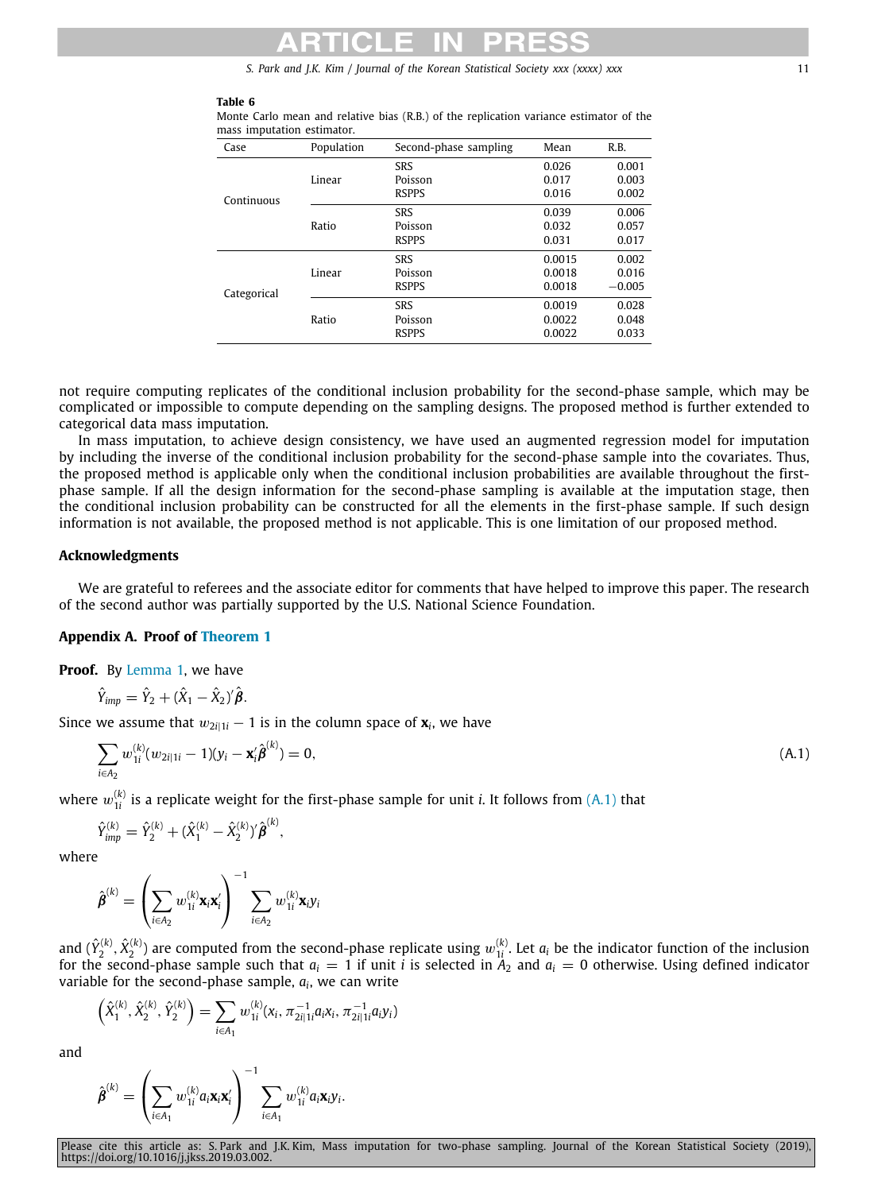### **Table 6**

Categorical

Ratio

| mass imputation estimator. |            |                                       |                         |                         |
|----------------------------|------------|---------------------------------------|-------------------------|-------------------------|
| Case                       | Population | Second-phase sampling                 | Mean                    | R.B.                    |
| Continuous                 | Linear     | SRS<br>Poisson<br><b>RSPPS</b>        | 0.026<br>0.017<br>0.016 | 0.001<br>0.003<br>0.002 |
|                            | Ratio      | <b>SRS</b><br>Poisson<br><b>RSPPS</b> | 0.039<br>0.032<br>0.031 | 0.006<br>0.057<br>0.017 |
|                            | Linear     | SRS<br>Poisson                        | 0.0015<br>0.0018        | 0.002<br>0.016          |

RSPPS 0.0018 −0.005

<span id="page-10-2"></span>SRS 0.0019 0.028<br>Poisson 0.0022 0.048 Poisson 0.0022 0.048 RSPPS 0.0022 0.033

<span id="page-10-1"></span>Monte Carlo mean and relative bias (R.B.) of the replication variance estimator of the mass imputation estimator.

not require computing replicates of the conditional inclusion probability for the second-phase sample, which may be complicated or impossible to compute depending on the sampling designs. The proposed method is further extended to categorical data mass imputation.

In mass imputation, to achieve design consistency, we have used an augmented regression model for imputation by including the inverse of the conditional inclusion probability for the second-phase sample into the covariates. Thus, the proposed method is applicable only when the conditional inclusion probabilities are available throughout the firstphase sample. If all the design information for the second-phase sampling is available at the imputation stage, then the conditional inclusion probability can be constructed for all the elements in the first-phase sample. If such design information is not available, the proposed method is not applicable. This is one limitation of our proposed method.

# **Acknowledgments**

We are grateful to referees and the associate editor for comments that have helped to improve this paper. The research of the second author was partially supported by the U.S. National Science Foundation.

### **Appendix A. Proof of [Theorem](#page-3-0) [1](#page-3-0)**

<span id="page-10-0"></span>**Proof.** By [Lemma](#page-1-5) [1,](#page-1-5) we have

$$
\hat{Y}_{\text{imp}} = \hat{Y}_2 + (\hat{X}_1 - \hat{X}_2)^{\prime} \hat{\boldsymbol{\beta}}.
$$

Since we assume that  $w_{2i|1i} - 1$  is in the column space of  $\mathbf{x}_i$ , we have

$$
\sum_{i \in A_2} w_{1i}^{(k)} (w_{2i|1i} - 1)(y_i - \mathbf{x}_i' \hat{\boldsymbol{\beta}}^{(k)}) = 0,
$$
\n(A.1)

where  $w_{1i}^{(k)}$  is a replicate weight for the first-phase sample for unit *i*. It follows from ([A.1\)](#page-10-2) that

$$
\hat{Y}_{\text{imp}}^{(k)} = \hat{Y}_2^{(k)} + (\hat{X}_1^{(k)} - \hat{X}_2^{(k)})' \hat{\beta}^{(k)},
$$

where

$$
\hat{\pmb{\beta}}^{(k)} = \left(\sum_{i \in A_2} w_{1i}^{(k)} \mathbf{x}_i \mathbf{x}_i'\right)^{-1} \sum_{i \in A_2} w_{1i}^{(k)} \mathbf{x}_i \mathbf{y}_i
$$

and  $(\hat{Y}_2^{(k)}, \hat{X}_2^{(k)})$  are computed from the second-phase replicate using  $w_{1i}^{(k)}$ . Let  $a_i$  be the indicator function of the inclusion for the second-phase sample such that  $a_i = 1$  if unit *i* is selected in  $A_2$  and  $a_i = 0$  otherwise. Using defined indicator variable for the second-phase sample, *a<sup>i</sup>* , we can write

$$
\left(\hat{X}_1^{(k)}, \hat{X}_2^{(k)}, \hat{Y}_2^{(k)}\right) = \sum_{i \in A_1} w_{1i}^{(k)}(x_i, \pi_{2i|1i}^{-1} a_i x_i, \pi_{2i|1i}^{-1} a_i y_i)
$$

and

$$
\hat{\pmb{\beta}}^{(k)} = \left(\sum_{i \in A_1} w_{1i}^{(k)} a_i \mathbf{x}_i \mathbf{x}_i'\right)^{-1} \sum_{i \in A_1} w_{1i}^{(k)} a_i \mathbf{x}_i y_i.
$$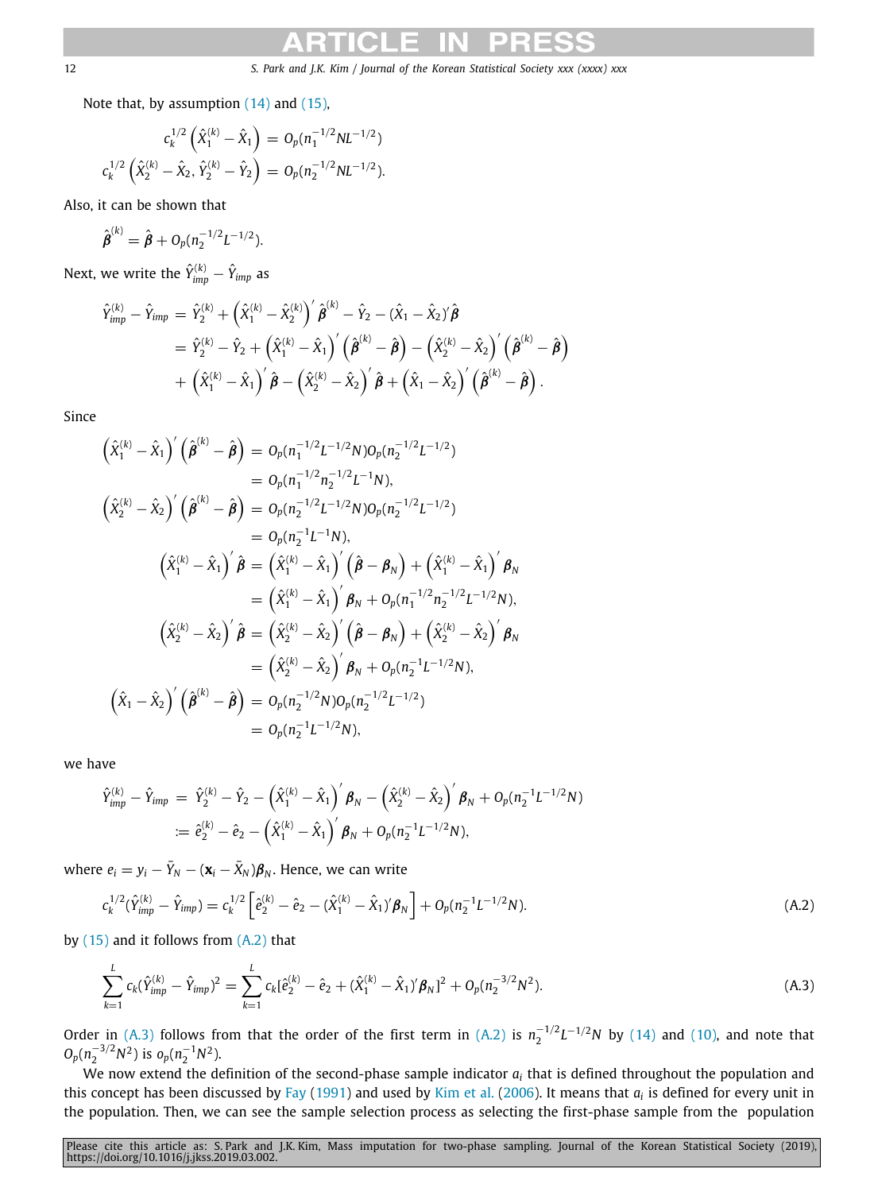Note that, by assumption ([14](#page-3-4)) and [\(15\)](#page-3-5),

$$
c_k^{1/2} \left( \hat{X}_1^{(k)} - \hat{X}_1 \right) = O_p(n_1^{-1/2} NL^{-1/2})
$$
  

$$
c_k^{1/2} \left( \hat{X}_2^{(k)} - \hat{X}_2, \hat{Y}_2^{(k)} - \hat{Y}_2 \right) = O_p(n_2^{-1/2} NL^{-1/2}).
$$

Also, it can be shown that

$$
\hat{\pmb{\beta}}^{(k)} = \hat{\pmb{\beta}} + O_p(n_2^{-1/2}L^{-1/2}).
$$

Next, we write the  $\hat{Y}^{(k)}_{\text{imp}} - \hat{Y}_{\text{imp}}$  as

$$
\begin{aligned} \hat{Y}_{imp}^{(k)} - \hat{Y}_{imp} & = \hat{Y}_2^{(k)} + \left(\hat{X}_1^{(k)} - \hat{X}_2^{(k)}\right)' \hat{\boldsymbol{\beta}}^{(k)} - \hat{Y}_2 - (\hat{X}_1 - \hat{X}_2)' \hat{\boldsymbol{\beta}} \\ & = \hat{Y}_2^{(k)} - \hat{Y}_2 + \left(\hat{X}_1^{(k)} - \hat{X}_1\right)' \left(\hat{\boldsymbol{\beta}}^{(k)} - \hat{\boldsymbol{\beta}}\right) - \left(\hat{X}_2^{(k)} - \hat{X}_2\right)' \left(\hat{\boldsymbol{\beta}}^{(k)} - \hat{\boldsymbol{\beta}}\right) \\ & + \left(\hat{X}_1^{(k)} - \hat{X}_1\right)' \hat{\boldsymbol{\beta}} - \left(\hat{X}_2^{(k)} - \hat{X}_2\right)' \hat{\boldsymbol{\beta}} + \left(\hat{X}_1 - \hat{X}_2\right)' \left(\hat{\boldsymbol{\beta}}^{(k)} - \hat{\boldsymbol{\beta}}\right). \end{aligned}
$$

Since

$$
\begin{aligned}\n\left(\hat{X}_{1}^{(k)} - \hat{X}_{1}\right)' \left(\hat{\beta}^{(k)} - \hat{\beta}\right) &= O_{p}(n_{1}^{-1/2}L^{-1/2}N)O_{p}(n_{2}^{-1/2}L^{-1/2}) \\
&= O_{p}(n_{1}^{-1/2}n_{2}^{-1/2}L^{-1}N), \\
\left(\hat{X}_{2}^{(k)} - \hat{X}_{2}\right)' \left(\hat{\beta}^{(k)} - \hat{\beta}\right) &= O_{p}(n_{2}^{-1/2}L^{-1/2}N)O_{p}(n_{2}^{-1/2}L^{-1/2}) \\
&= O_{p}(n_{2}^{-1}L^{-1}N), \\
\left(\hat{X}_{1}^{(k)} - \hat{X}_{1}\right)' \hat{\beta} &= \left(\hat{X}_{1}^{(k)} - \hat{X}_{1}\right)' \left(\hat{\beta} - \beta_{N}\right) + \left(\hat{X}_{1}^{(k)} - \hat{X}_{1}\right)' \beta_{N} \\
&= \left(\hat{X}_{1}^{(k)} - \hat{X}_{1}\right)' \beta_{N} + O_{p}(n_{1}^{-1/2}n_{2}^{-1/2}L^{-1/2}N), \\
\left(\hat{X}_{2}^{(k)} - \hat{X}_{2}\right)' \hat{\beta} &= \left(\hat{X}_{2}^{(k)} - \hat{X}_{2}\right)' \left(\hat{\beta} - \beta_{N}\right) + \left(\hat{X}_{2}^{(k)} - \hat{X}_{2}\right)' \beta_{N} \\
&= \left(\hat{X}_{2}^{(k)} - \hat{X}_{2}\right)' \beta_{N} + O_{p}(n_{2}^{-1}L^{-1/2}N), \\
\left(\hat{X}_{1} - \hat{X}_{2}\right)' \left(\hat{\beta}^{(k)} - \hat{\beta}\right) &= O_{p}(n_{2}^{-1/2}N)O_{p}(n_{2}^{-1/2}L^{-1/2}) \\
&= O_{p}(n_{2}^{-1}L^{-1/2}N),\n\end{aligned}
$$

we have

$$
\begin{aligned} \hat{Y}_{\text{imp}}^{(k)} - \hat{Y}_{\text{imp}} &= \ \hat{Y}_2^{(k)} - \hat{Y}_2 - \left(\hat{X}_1^{(k)} - \hat{X}_1\right)'\boldsymbol{\beta}_N - \left(\hat{X}_2^{(k)} - \hat{X}_2\right)'\boldsymbol{\beta}_N + O_p(n_2^{-1}L^{-1/2}N) \\ &\coloneqq \hat{e}_2^{(k)} - \hat{e}_2 - \left(\hat{X}_1^{(k)} - \hat{X}_1\right)'\boldsymbol{\beta}_N + O_p(n_2^{-1}L^{-1/2}N), \end{aligned}
$$

where  $e_i = y_i - \bar{Y}_N - (\mathbf{x}_i - \bar{X}_N)\boldsymbol{\beta}_N$ . Hence, we can write

<span id="page-11-0"></span>
$$
c_k^{1/2}(\hat{Y}_{imp}^{(k)} - \hat{Y}_{imp}) = c_k^{1/2} \left[ \hat{e}_2^{(k)} - \hat{e}_2 - (\hat{X}_1^{(k)} - \hat{X}_1)' \boldsymbol{\beta}_N \right] + O_p(n_2^{-1} L^{-1/2} N). \tag{A.2}
$$

by  $(15)$  and it follows from  $(A.2)$  $(A.2)$  $(A.2)$  that

<span id="page-11-1"></span>
$$
\sum_{k=1}^{L} c_k (\hat{Y}_{imp}^{(k)} - \hat{Y}_{imp})^2 = \sum_{k=1}^{L} c_k [\hat{e}_2^{(k)} - \hat{e}_2 + (\hat{X}_1^{(k)} - \hat{X}_1)' \boldsymbol{\beta}_N]^2 + O_p(n_2^{-3/2} N^2).
$$
 (A.3)

Order in [\(A.3\)](#page-11-1) follows from that the order of the first term in ([A.2\)](#page-11-0) is  $n_2^{-1/2}L^{-1/2}N$  by ([14](#page-3-4)) and ([10](#page-3-1)), and note that  $O_p(n_2^{-3/2}N^2)$  is  $o_p(n_2^{-1}N^2)$ .

We now extend the definition of the second-phase sample indicator  $a_i$  that is defined throughout the population and this concept has been discussed by [Fay](#page-14-16) ([1991\)](#page-14-16) and used by [Kim et al.](#page-14-12) ([2006\)](#page-14-12). It means that *a<sup>i</sup>* is defined for every unit in the population. Then, we can see the sample selection process as selecting the first-phase sample from the population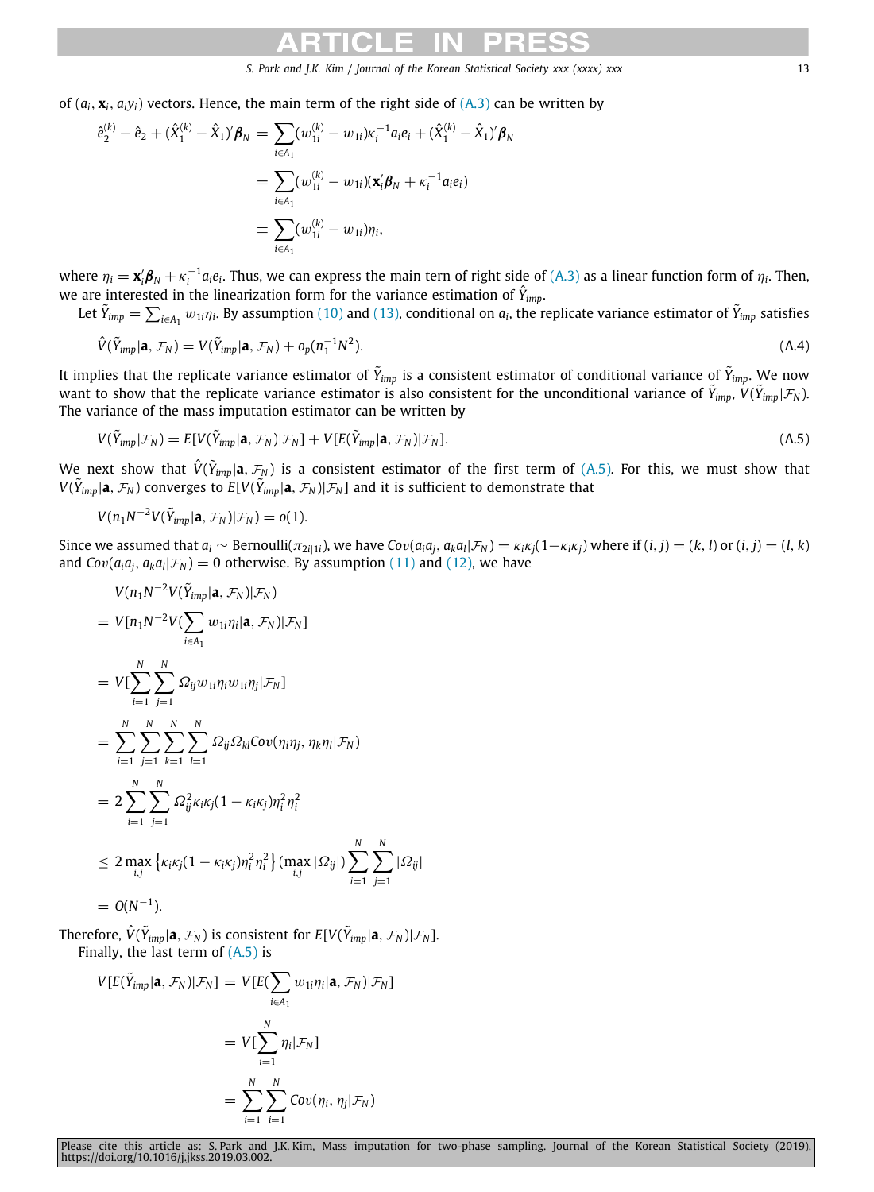of  $(a_i, x_i, a_i y_i)$  vectors. Hence, the main term of the right side of  $(A,3)$  can be written by

$$
\begin{aligned}\n\hat{e}_2^{(k)} - \hat{e}_2 + (\hat{X}_1^{(k)} - \hat{X}_1)' \boldsymbol{\beta}_N &= \sum_{i \in A_1} (w_{1i}^{(k)} - w_{1i}) \kappa_i^{-1} a_i e_i + (\hat{X}_1^{(k)} - \hat{X}_1)' \boldsymbol{\beta}_N \\
&= \sum_{i \in A_1} (w_{1i}^{(k)} - w_{1i}) (\mathbf{x}_i' \boldsymbol{\beta}_N + \kappa_i^{-1} a_i e_i) \\
&\equiv \sum_{i \in A_1} (w_{1i}^{(k)} - w_{1i}) \eta_i,\n\end{aligned}
$$

where  $\eta_i = \mathbf{x}_i' \boldsymbol{\beta}_N + \kappa_i^{-1} a_i e_i$ . Thus, we can express the main tern of right side of ([A.3](#page-11-1)) as a linear function form of  $\eta_i$ . Then, we are interested in the linearization form for the variance estimation of  $\hat{Y}_{imp}$ .

Let  $\tilde{Y}_{imp}=\sum_{i\in A_1}w_{1i}\eta_i$ . By assumption [\(10\)](#page-3-1) and ([13\)](#page-3-3), conditional on  $a_i$ , the replicate variance estimator of  $\tilde{Y}_{imp}$  satisfies

<span id="page-12-1"></span>
$$
\hat{V}(\tilde{Y}_{imp}|\mathbf{a}, \mathcal{F}_N) = V(\tilde{Y}_{imp}|\mathbf{a}, \mathcal{F}_N) + o_p(n_1^{-1}N^2).
$$
\n(A.4)

It implies that the replicate variance estimator of  $\tilde Y_{imp}$  is a consistent estimator of conditional variance of  $\tilde Y_{imp}.$  We now want to show that the replicate variance estimator is also consistent for the unconditional variance of  $\tilde{Y}_{imp}, V(\tilde{Y}_{imp}|\mathcal{F}_N)$ . The variance of the mass imputation estimator can be written by

<span id="page-12-0"></span>
$$
V(\tilde{Y}_{imp}|\mathcal{F}_N) = E[V(\tilde{Y}_{imp}|\mathbf{a}, \mathcal{F}_N)|\mathcal{F}_N] + V[E(\tilde{Y}_{imp}|\mathbf{a}, \mathcal{F}_N)|\mathcal{F}_N].
$$
\n(A.5)

We next show that  $\hat{V}(\tilde{Y}_{imp}|{\bf a},\mathcal{F}_N)$  is a consistent estimator of the first term of [\(A.5\)](#page-12-0). For this, we must show that  $V(\tilde{Y}_{imp}|\mathbf{a},\mathcal{F}_N)$  converges to  $E[V(\tilde{Y}_{imp}|\mathbf{a},\mathcal{F}_N)|\mathcal{F}_N]$  and it is sufficient to demonstrate that

$$
V(n_1N^{-2}V(\tilde{Y}_{imp}|\mathbf{a},\mathcal{F}_N)|\mathcal{F}_N)=o(1).
$$

Since we assumed that  $a_i \sim \text{Bernoulli}(\pi_{2i|1i})$ , we have  $Cov(a_i a_j, a_k a_l | \mathcal{F}_N) = \kappa_i \kappa_j (1 - \kappa_i \kappa_j)$  where if  $(i, j) = (k, l)$  or  $(i, j) = (l, k)$ and  $Cov(a_i a_j, a_k a_l | \mathcal{F}_N) = 0$  otherwise. By assumption ([11\)](#page-3-8) and [\(12](#page-3-2)), we have

$$
V(n_1N^{-2}V(\tilde{Y}_{imp}|\mathbf{a}, \mathcal{F}_N)|\mathcal{F}_N)
$$
  
=  $V[n_1N^{-2}V(\sum_{i\in A_1} w_{1i}\eta_i|\mathbf{a}, \mathcal{F}_N)|\mathcal{F}_N]$   
=  $V[\sum_{i=1}^N \sum_{j=1}^N \Omega_{ij}w_{1i}\eta_i w_{1i}\eta_j|\mathcal{F}_N]$   
=  $\sum_{i=1}^N \sum_{j=1}^N \sum_{k=1}^N \sum_{l=1}^N \Omega_{ij} \Omega_{kl}Cov(\eta_i\eta_j, \eta_k\eta_l|\mathcal{F}_N)$   
=  $2\sum_{i=1}^N \sum_{j=1}^N \Omega_{ij}^2 \kappa_i \kappa_j (1 - \kappa_i \kappa_j) \eta_i^2 \eta_i^2$   
 $\leq 2 \max_{i,j} \left\{ \kappa_i \kappa_j (1 - \kappa_i \kappa_j) \eta_i^2 \eta_i^2 \right\} (\max_{i,j} |\Omega_{ij}|) \sum_{i=1}^N \sum_{j=1}^N |\Omega_{ij}|$   
=  $O(N^{-1}).$ 

Therefore,  $\hat{V}(\tilde{Y}_{imp}|\mathbf{a},\mathcal{F}_N)$  is consistent for  $E[V(\tilde{Y}_{imp}|\mathbf{a},\mathcal{F}_N)|\mathcal{F}_N].$ Finally, the last term of  $(A.5)$  $(A.5)$  is

$$
V[E(\tilde{Y}_{imp}|\mathbf{a}, \mathcal{F}_N)|\mathcal{F}_N] = V[E(\sum_{i \in A_1} w_{1i} \eta_i|\mathbf{a}, \mathcal{F}_N)|\mathcal{F}_N]
$$
  
= 
$$
V[\sum_{i=1}^N \eta_i|\mathcal{F}_N]
$$
  
= 
$$
\sum_{i=1}^N \sum_{i=1}^N Cov(\eta_i, \eta_j|\mathcal{F}_N)
$$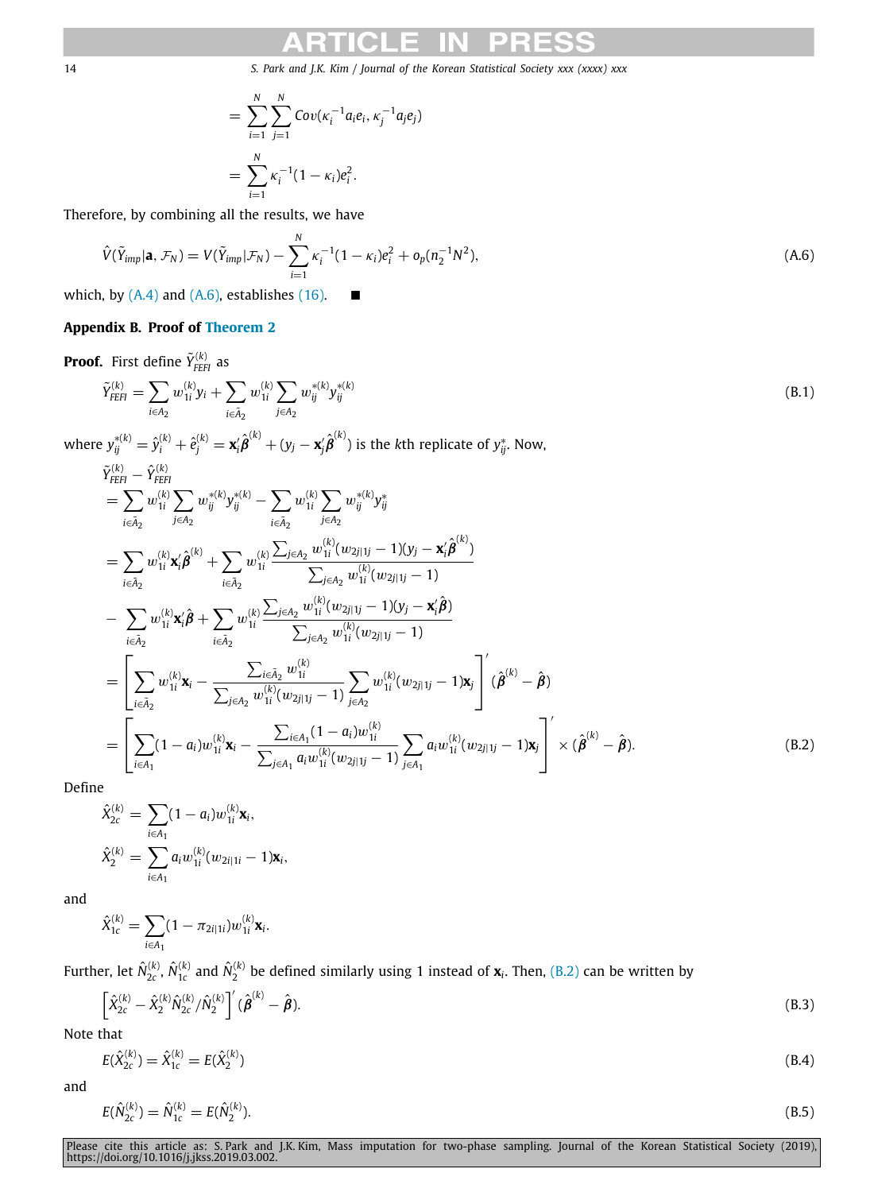<span id="page-13-6"></span><span id="page-13-1"></span>
$$
= \sum_{i=1}^{N} \sum_{j=1}^{N} Cov(\kappa_i^{-1} a_i e_i, \kappa_j^{-1} a_j e_j)
$$
  
= 
$$
\sum_{i=1}^{N} \kappa_i^{-1} (1 - \kappa_i) e_i^2.
$$

Therefore, by combining all the results, we have

$$
\hat{V}(\tilde{Y}_{imp}|\mathbf{a}, \mathcal{F}_N) = V(\tilde{Y}_{imp}|\mathcal{F}_N) - \sum_{i=1}^N \kappa_i^{-1} (1 - \kappa_i) e_i^2 + o_p(n_2^{-1}N^2), \tag{A.6}
$$

which, by  $(A.4)$  and  $(A.6)$ , establishes [\(16\)](#page-3-6).  $\blacksquare$ 

# **Appendix B. Proof of [Theorem](#page-4-1) [2](#page-4-1)**

<span id="page-13-0"></span>**Proof.** First define  $\tilde{Y}_{F\!E\!F\!I}}^{(k)}$  as

$$
\tilde{Y}_{FEH}^{(k)} = \sum_{i \in A_2} w_{1i}^{(k)} y_i + \sum_{i \in \tilde{A}_2} w_{1i}^{(k)} \sum_{j \in A_2} w_{ij}^{*(k)} y_{ij}^{*(k)}
$$
\n(B.1)

where  $y_{ij}^{*(k)}=\hat{y}_i^{(k)}+\hat{e}_j^{(k)}=\textbf{x}_i'\hat{\pmb{\beta}}^{(k)}+(y_j-\textbf{x}_j'\hat{\pmb{\beta}}^{(k)})$  is the kth replicate of  $y_{ij}^*.$  Now,

$$
\tilde{Y}_{\text{EFI}}^{(k)} - \hat{Y}_{\text{EFI}}^{(k)} \n= \sum_{i \in \tilde{A}_2} w_{1i}^{(k)} \sum_{j \in A_2} w_{ij}^{*(k)} y_{ij}^{*(k)} - \sum_{i \in \tilde{A}_2} w_{1i}^{(k)} \sum_{j \in A_2} w_{ij}^{*(k)} y_{ij}^{*} \n= \sum_{i \in \tilde{A}_2} w_{1i}^{(k)} \mathbf{x}'_i \hat{\boldsymbol{\beta}}^{(k)} + \sum_{i \in \tilde{A}_2} w_{1i}^{(k)} \frac{\sum_{j \in A_2} w_{1i}^{(k)} (w_{2j|1j} - 1)(y_j - \mathbf{x}'_i \hat{\boldsymbol{\beta}}^{(k)})}{\sum_{j \in A_2} w_{1i}^{(k)} (w_{2j|1j} - 1)}
$$
\n
$$
- \sum_{i \in \tilde{A}_2} w_{1i}^{(k)} \mathbf{x}'_i \hat{\boldsymbol{\beta}} + \sum_{i \in \tilde{A}_2} w_{1i}^{(k)} \frac{\sum_{j \in A_2} w_{1i}^{(k)} (w_{2j|1j} - 1)(y_j - \mathbf{x}'_i \hat{\boldsymbol{\beta}})}{\sum_{j \in A_2} w_{1i}^{(k)} (w_{2j|1j} - 1)}
$$
\n
$$
= \left[ \sum_{i \in \tilde{A}_2} w_{1i}^{(k)} \mathbf{x}_i - \frac{\sum_{i \in \tilde{A}_2} w_{1i}^{(k)} (w_{2j|1j} - 1)}{\sum_{j \in A_2} w_{1i}^{(k)} (w_{2j|1j} - 1)} \sum_{j \in A_2} w_{1i}^{(k)} (w_{2j|1j} - 1) \mathbf{x}_j \right] \cdot (\hat{\boldsymbol{\beta}}^{(k)} - \hat{\boldsymbol{\beta}})
$$
\n
$$
= \left[ \sum_{i \in A_1} (1 - a_i) w_{1i}^{(k)} \mathbf{x}_i - \frac{\sum_{i \in A_1} (1 - a_i) w_{1i}^{(k)}}{\sum_{j \in A_1} a_i w_{1i}^{(k)} (w_{2j|1j} - 1)} \sum_{j \in A_1} a_i w_{1i}^{(k)} (w_{
$$

Define

<span id="page-13-2"></span>
$$
\hat{X}_{2c}^{(k)} = \sum_{i \in A_1} (1 - a_i) w_{1i}^{(k)} \mathbf{x}_i,
$$
  

$$
\hat{X}_2^{(k)} = \sum_{i \in A_1} a_i w_{1i}^{(k)} (w_{2i|1i} - 1) \mathbf{x}_i,
$$

and

$$
\hat{X}_{1c}^{(k)} = \sum_{i \in A_1} (1 - \pi_{2i|1i}) w_{1i}^{(k)} \mathbf{x}_i.
$$

Further, let  $\hat{N}_{2c}^{(k)}$  ,  $\hat{N}_{1c}^{(k)}$  and  $\hat{N}_2^{(k)}$  be defined similarly using 1 instead of  $\bf{x}_i$ . Then, [\(B.2\)](#page-13-2) can be written by

<span id="page-13-3"></span>
$$
\left[\hat{X}_{2c}^{(k)} - \hat{X}_{2}^{(k)} \hat{N}_{2c}^{(k)} / \hat{N}_{2}^{(k)}\right]' (\hat{\boldsymbol{\beta}}^{(k)} - \hat{\boldsymbol{\beta}}).
$$
\n(B.3)

Note that

<span id="page-13-5"></span>
$$
E(\hat{X}_{2c}^{(k)}) = \hat{X}_{1c}^{(k)} = E(\hat{X}_{2}^{(k)})
$$
\n(B.4)

and

<span id="page-13-4"></span>
$$
E(\hat{N}_{2c}^{(k)}) = \hat{N}_{1c}^{(k)} = E(\hat{N}_{2}^{(k)}).
$$
\n(B.5)